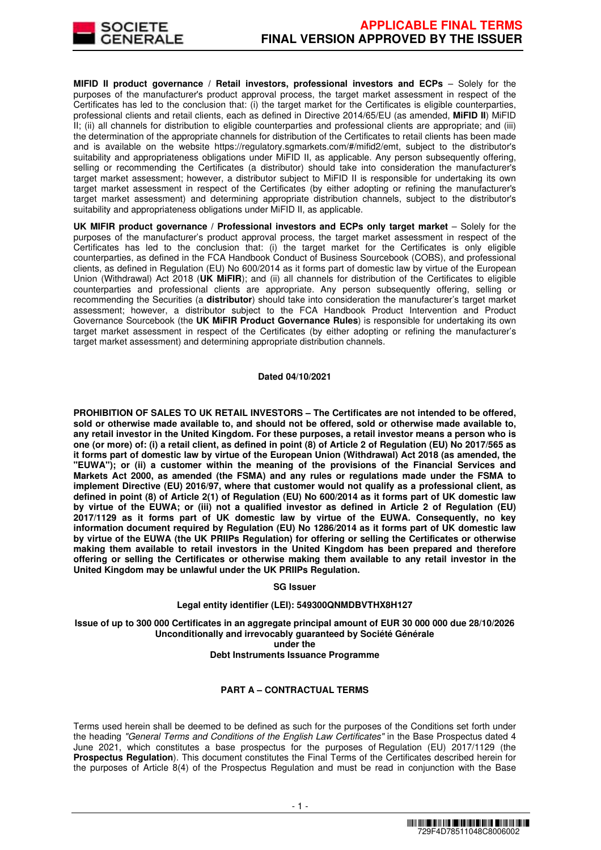

**MIFID II product governance / Retail investors, professional investors and ECPs - Solely for the** purposes of the manufacturer's product approval process, the target market assessment in respect of the Certificates has led to the conclusion that: (i) the target market for the Certificates is eligible counterparties, professional clients and retail clients, each as defined in Directive 2014/65/EU (as amended, **MiFID II**) MiFID II; (ii) all channels for distribution to eligible counterparties and professional clients are appropriate; and (iii) the determination of the appropriate channels for distribution of the Certificates to retail clients has been made and is available on the website https://regulatory.sgmarkets.com/#/mifid2/emt, subject to the distributor's suitability and appropriateness obligations under MiFID II, as applicable. Any person subsequently offering, selling or recommending the Certificates (a distributor) should take into consideration the manufacturer's target market assessment; however, a distributor subject to MiFID II is responsible for undertaking its own target market assessment in respect of the Certificates (by either adopting or refining the manufacturer's target market assessment) and determining appropriate distribution channels, subject to the distributor's suitability and appropriateness obligations under MiFID II, as applicable.

**UK MIFIR product governance / Professional investors and ECPs only target market** – Solely for the purposes of the manufacturer's product approval process, the target market assessment in respect of the Certificates has led to the conclusion that: (i) the target market for the Certificates is only eligible counterparties, as defined in the FCA Handbook Conduct of Business Sourcebook (COBS), and professional clients, as defined in Regulation (EU) No 600/2014 as it forms part of domestic law by virtue of the European Union (Withdrawal) Act 2018 (**UK MiFIR**); and (ii) all channels for distribution of the Certificates to eligible counterparties and professional clients are appropriate. Any person subsequently offering, selling or recommending the Securities (a **distributor**) should take into consideration the manufacturer's target market assessment; however, a distributor subject to the FCA Handbook Product Intervention and Product Governance Sourcebook (the **UK MiFIR Product Governance Rules**) is responsible for undertaking its own target market assessment in respect of the Certificates (by either adopting or refining the manufacturer's target market assessment) and determining appropriate distribution channels.

#### **Dated 04/10/2021**

**PROHIBITION OF SALES TO UK RETAIL INVESTORS – The Certificates are not intended to be offered, sold or otherwise made available to, and should not be offered, sold or otherwise made available to, any retail investor in the United Kingdom. For these purposes, a retail investor means a person who is one (or more) of: (i) a retail client, as defined in point (8) of Article 2 of Regulation (EU) No 2017/565 as it forms part of domestic law by virtue of the European Union (Withdrawal) Act 2018 (as amended, the "EUWA"); or (ii) a customer within the meaning of the provisions of the Financial Services and Markets Act 2000, as amended (the FSMA) and any rules or regulations made under the FSMA to implement Directive (EU) 2016/97, where that customer would not qualify as a professional client, as defined in point (8) of Article 2(1) of Regulation (EU) No 600/2014 as it forms part of UK domestic law by virtue of the EUWA; or (iii) not a qualified investor as defined in Article 2 of Regulation (EU) 2017/1129 as it forms part of UK domestic law by virtue of the EUWA. Consequently, no key information document required by Regulation (EU) No 1286/2014 as it forms part of UK domestic law by virtue of the EUWA (the UK PRIIPs Regulation) for offering or selling the Certificates or otherwise making them available to retail investors in the United Kingdom has been prepared and therefore offering or selling the Certificates or otherwise making them available to any retail investor in the United Kingdom may be unlawful under the UK PRIIPs Regulation.**

#### **SG Issuer**

## **Legal entity identifier (LEI): 549300QNMDBVTHX8H127**

**Issue of up to 300 000 Certificates in an aggregate principal amount of EUR 30 000 000 due 28/10/2026 Unconditionally and irrevocably guaranteed by Société Générale under the** 

#### **Debt Instruments Issuance Programme**

## **PART A – CONTRACTUAL TERMS**

Terms used herein shall be deemed to be defined as such for the purposes of the Conditions set forth under the heading "General Terms and Conditions of the English Law Certificates" in the Base Prospectus dated 4 June 2021, which constitutes a base prospectus for the purposes of Regulation (EU) 2017/1129 (the **Prospectus Regulation**). This document constitutes the Final Terms of the Certificates described herein for the purposes of Article 8(4) of the Prospectus Regulation and must be read in conjunction with the Base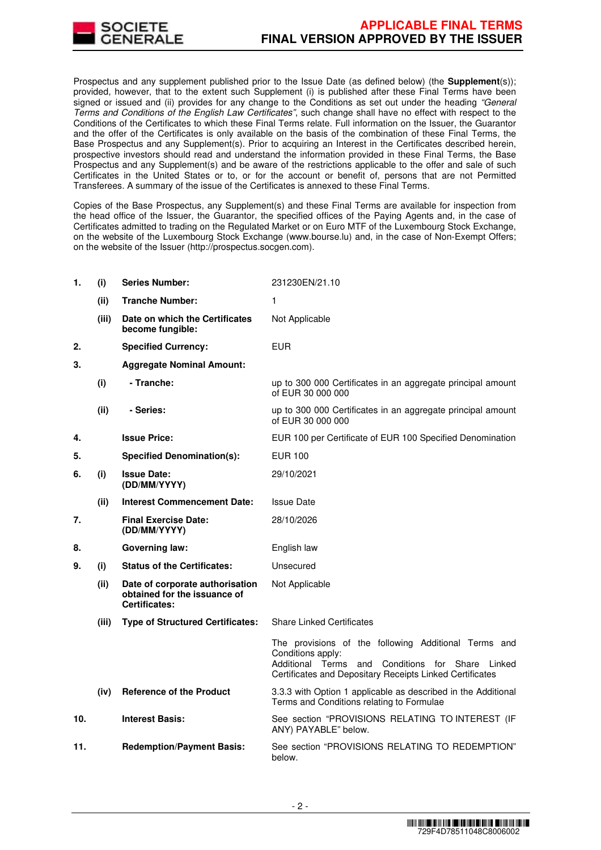

Prospectus and any supplement published prior to the Issue Date (as defined below) (the **Supplement**(s)); provided, however, that to the extent such Supplement (i) is published after these Final Terms have been signed or issued and (ii) provides for any change to the Conditions as set out under the heading "General Terms and Conditions of the English Law Certificates", such change shall have no effect with respect to the Conditions of the Certificates to which these Final Terms relate. Full information on the Issuer, the Guarantor and the offer of the Certificates is only available on the basis of the combination of these Final Terms, the Base Prospectus and any Supplement(s). Prior to acquiring an Interest in the Certificates described herein, prospective investors should read and understand the information provided in these Final Terms, the Base Prospectus and any Supplement(s) and be aware of the restrictions applicable to the offer and sale of such Certificates in the United States or to, or for the account or benefit of, persons that are not Permitted Transferees. A summary of the issue of the Certificates is annexed to these Final Terms.

Copies of the Base Prospectus, any Supplement(s) and these Final Terms are available for inspection from the head office of the Issuer, the Guarantor, the specified offices of the Paying Agents and, in the case of Certificates admitted to trading on the Regulated Market or on Euro MTF of the Luxembourg Stock Exchange, on the website of the Luxembourg Stock Exchange (www.bourse.lu) and, in the case of Non-Exempt Offers; on the website of the Issuer (http://prospectus.socgen.com).

| 1.  | (i)   | <b>Series Number:</b>                                                                   | 231230EN/21.10                                                                                                                                                                                  |
|-----|-------|-----------------------------------------------------------------------------------------|-------------------------------------------------------------------------------------------------------------------------------------------------------------------------------------------------|
|     | (ii)  | <b>Tranche Number:</b>                                                                  | 1                                                                                                                                                                                               |
|     | (iii) | Date on which the Certificates<br>become fungible:                                      | Not Applicable                                                                                                                                                                                  |
| 2.  |       | <b>Specified Currency:</b>                                                              | <b>EUR</b>                                                                                                                                                                                      |
| 3.  |       | <b>Aggregate Nominal Amount:</b>                                                        |                                                                                                                                                                                                 |
|     | (i)   | - Tranche:                                                                              | up to 300 000 Certificates in an aggregate principal amount<br>of EUR 30 000 000                                                                                                                |
|     | (ii)  | - Series:                                                                               | up to 300 000 Certificates in an aggregate principal amount<br>of EUR 30 000 000                                                                                                                |
| 4.  |       | <b>Issue Price:</b>                                                                     | EUR 100 per Certificate of EUR 100 Specified Denomination                                                                                                                                       |
| 5.  |       | <b>Specified Denomination(s):</b>                                                       | <b>EUR 100</b>                                                                                                                                                                                  |
| 6.  | (i)   | <b>Issue Date:</b><br>(DD/MM/YYYY)                                                      | 29/10/2021                                                                                                                                                                                      |
|     | (ii)  | <b>Interest Commencement Date:</b>                                                      | <b>Issue Date</b>                                                                                                                                                                               |
| 7.  |       | <b>Final Exercise Date:</b><br>(DD/MM/YYYY)                                             | 28/10/2026                                                                                                                                                                                      |
| 8.  |       | <b>Governing law:</b>                                                                   | English law                                                                                                                                                                                     |
| 9.  | (i)   | <b>Status of the Certificates:</b>                                                      | Unsecured                                                                                                                                                                                       |
|     | (ii)  | Date of corporate authorisation<br>obtained for the issuance of<br><b>Certificates:</b> | Not Applicable                                                                                                                                                                                  |
|     | (iii) | <b>Type of Structured Certificates:</b>                                                 | <b>Share Linked Certificates</b>                                                                                                                                                                |
|     |       |                                                                                         | The provisions of the following Additional Terms and<br>Conditions apply:<br>Additional Terms<br>Conditions for Share Linked<br>and<br>Certificates and Depositary Receipts Linked Certificates |
|     | (iv)  | <b>Reference of the Product</b>                                                         | 3.3.3 with Option 1 applicable as described in the Additional<br>Terms and Conditions relating to Formulae                                                                                      |
| 10. |       | <b>Interest Basis:</b>                                                                  | See section "PROVISIONS RELATING TO INTEREST (IF<br>ANY) PAYABLE" below.                                                                                                                        |
| 11. |       | <b>Redemption/Payment Basis:</b>                                                        | See section "PROVISIONS RELATING TO REDEMPTION"<br>below.                                                                                                                                       |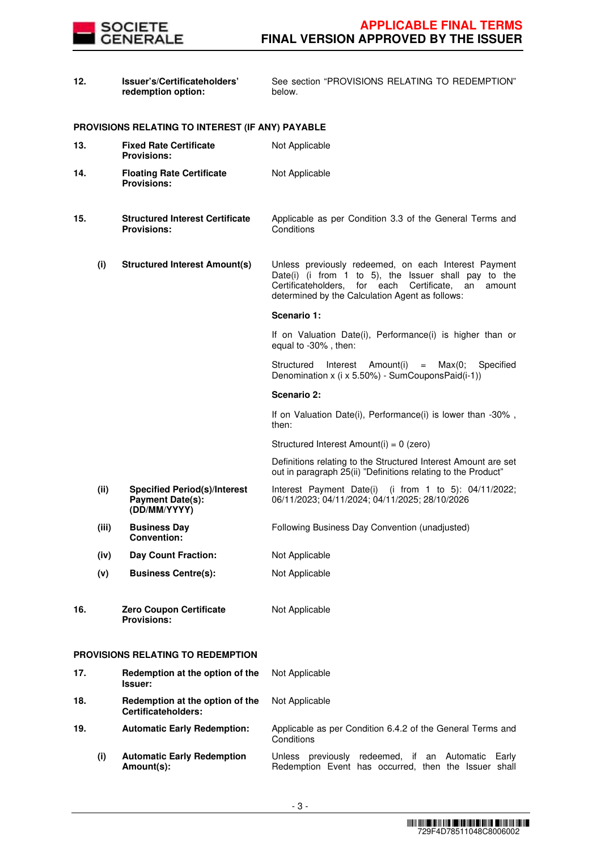

| 12. |       | Issuer's/Certificateholders'<br>redemption option:                             | See section "PROVISIONS RELATING TO REDEMPTION"<br>below.                                                                                                                                                                    |
|-----|-------|--------------------------------------------------------------------------------|------------------------------------------------------------------------------------------------------------------------------------------------------------------------------------------------------------------------------|
|     |       | PROVISIONS RELATING TO INTEREST (IF ANY) PAYABLE                               |                                                                                                                                                                                                                              |
| 13. |       | <b>Fixed Rate Certificate</b><br><b>Provisions:</b>                            | Not Applicable                                                                                                                                                                                                               |
| 14. |       | <b>Floating Rate Certificate</b><br><b>Provisions:</b>                         | Not Applicable                                                                                                                                                                                                               |
| 15. |       | <b>Structured Interest Certificate</b><br><b>Provisions:</b>                   | Applicable as per Condition 3.3 of the General Terms and<br>Conditions                                                                                                                                                       |
|     | (i)   | <b>Structured Interest Amount(s)</b>                                           | Unless previously redeemed, on each Interest Payment<br>Date(i) (i from 1 to 5), the Issuer shall pay to the<br>Certificateholders, for each Certificate,<br>an<br>amount<br>determined by the Calculation Agent as follows: |
|     |       |                                                                                | Scenario 1:                                                                                                                                                                                                                  |
|     |       |                                                                                | If on Valuation Date(i), Performance(i) is higher than or<br>equal to -30%, then:                                                                                                                                            |
|     |       |                                                                                | Interest Amount(i)<br>Structured<br>Max(0;<br>Specified<br>$=$<br>Denomination x (i x 5.50%) - SumCouponsPaid(i-1))                                                                                                          |
|     |       |                                                                                | Scenario 2:                                                                                                                                                                                                                  |
|     |       |                                                                                | If on Valuation Date(i), Performance(i) is lower than -30%,<br>then:                                                                                                                                                         |
|     |       |                                                                                | Structured Interest Amount(i) = 0 (zero)                                                                                                                                                                                     |
|     |       |                                                                                | Definitions relating to the Structured Interest Amount are set<br>out in paragraph 25(ii) "Definitions relating to the Product"                                                                                              |
|     | (ii)  | <b>Specified Period(s)/Interest</b><br><b>Payment Date(s):</b><br>(DD/MM/YYYY) | Interest Payment Date(i) (i from 1 to 5): 04/11/2022;<br>06/11/2023; 04/11/2024; 04/11/2025; 28/10/2026                                                                                                                      |
|     | (iii) | <b>Business Day</b><br><b>Convention:</b>                                      | Following Business Day Convention (unadjusted)                                                                                                                                                                               |
|     | (iv)  | <b>Day Count Fraction:</b>                                                     | Not Applicable                                                                                                                                                                                                               |
|     | (v)   | <b>Business Centre(s):</b>                                                     | Not Applicable                                                                                                                                                                                                               |
| 16. |       | <b>Zero Coupon Certificate</b><br><b>Provisions:</b>                           | Not Applicable                                                                                                                                                                                                               |
|     |       | PROVISIONS RELATING TO REDEMPTION                                              |                                                                                                                                                                                                                              |
| 17. |       | Redemption at the option of the<br>Issuer:                                     | Not Applicable                                                                                                                                                                                                               |

Unless previously redeemed, if an Automatic Early Redemption Event has occurred, then the Issuer shall

Not Applicable

**19. Automatic Early Redemption:** Applicable as per Condition 6.4.2 of the General Terms and Conditions

**18. Redemption at the option of the Certificateholders:**

**(i) Automatic Early Redemption** 

**Amount(s):**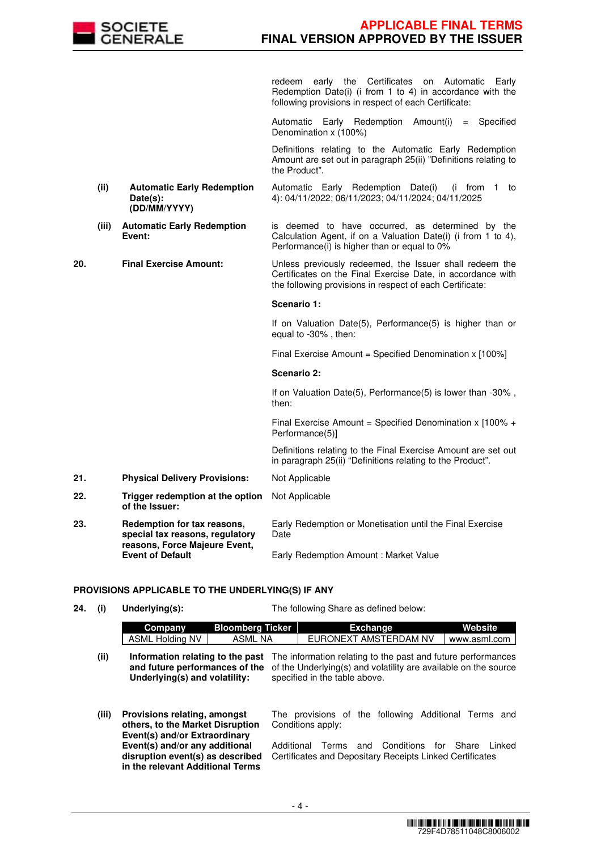

redeem early the Certificates on Automatic Early Redemption Date(i) (i from 1 to 4) in accordance with the following provisions in respect of each Certificate:

Automatic Early Redemption Amount(i) = Specified Denomination x (100%)

 Definitions relating to the Automatic Early Redemption Amount are set out in paragraph 25(ii) "Definitions relating to the Product".

- **(ii) Automatic Early Redemption Date(s): (DD/MM/YYYY)** Automatic Early Redemption Date(i) (i from 1 to 4): 04/11/2022; 06/11/2023; 04/11/2024; 04/11/2025
- **(iii) Automatic Early Redemption Event:** is deemed to have occurred, as determined by the Calculation Agent, if on a Valuation Date(i) (i from 1 to 4), Performance(i) is higher than or equal to 0%

**20. Final Exercise Amount:** Unless previously redeemed, the Issuer shall redeem the Certificates on the Final Exercise Date, in accordance with the following provisions in respect of each Certificate:

## **Scenario 1:**

If on Valuation Date(5), Performance(5) is higher than or equal to -30% , then:

Final Exercise Amount = Specified Denomination x [100%]

#### **Scenario 2:**

If on Valuation Date(5), Performance(5) is lower than -30% , then:

Final Exercise Amount = Specified Denomination x  $100\% +$ Performance(5)]

 Definitions relating to the Final Exercise Amount are set out in paragraph 25(ii) "Definitions relating to the Product".

- **21. Physical Delivery Provisions:** Not Applicable
- **22. Trigger redemption at the option of the Issuer:** Not Applicable
- **23. Redemption for tax reasons, special tax reasons, regulatory reasons, Force Majeure Event, Event of Default** Early Redemption or Monetisation until the Final Exercise Date

Early Redemption Amount : Market Value

## **PROVISIONS APPLICABLE TO THE UNDERLYING(S) IF ANY**

**Event(s) and/or any additional** 

**in the relevant Additional Terms** 

**24. (i) Underlying(s):** The following Share as defined below:

|      | Company         | <b>Bloomberg Ticker</b> | Exchange                                                                                                                                                                                        | Website      |
|------|-----------------|-------------------------|-------------------------------------------------------------------------------------------------------------------------------------------------------------------------------------------------|--------------|
|      | ASML Holding NV | ASML NA                 | EURONEXT AMSTERDAM NV                                                                                                                                                                           | www.asml.com |
| (ii) |                 |                         | Information relating to the past The information relating to the past and future performances<br>and future performances of the of the Underlying(s) and volatility are available on the source |              |

- **Underlying(s) and volatility:** specified in the table above.
- **(iii) Provisions relating, amongst others, to the Market Disruption Event(s) and/or Extraordinary**  The provisions of the following Additional Terms and Conditions apply:

**disruption event(s) as described**  Additional Terms and Conditions for Share Linked Certificates and Depositary Receipts Linked Certificates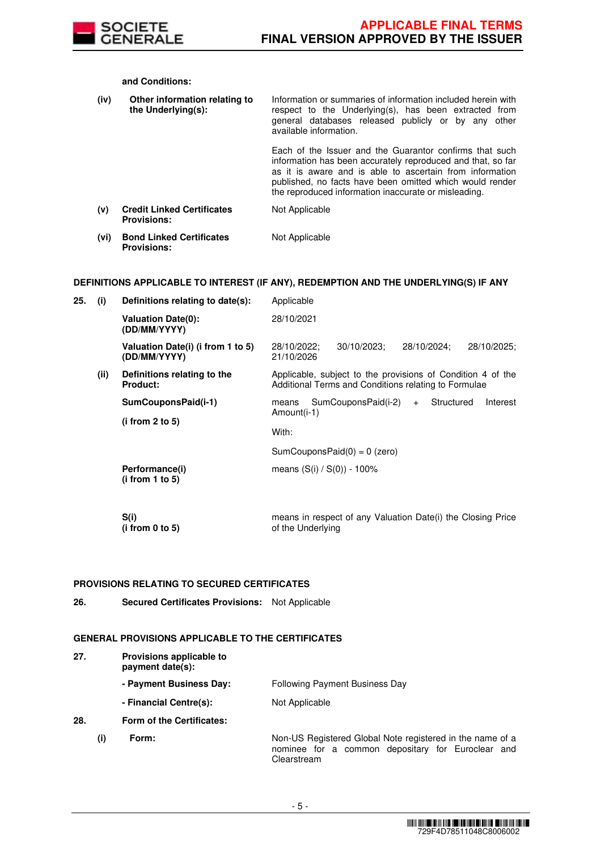

**and Conditions:**

| (iv) | Other information relating to<br>the Underlying(s):     | Information or summaries of information included herein with<br>respect to the Underlying(s), has been extracted from<br>general databases released publicly or by any other<br>available information.                                                                                                 |
|------|---------------------------------------------------------|--------------------------------------------------------------------------------------------------------------------------------------------------------------------------------------------------------------------------------------------------------------------------------------------------------|
|      |                                                         | Each of the Issuer and the Guarantor confirms that such<br>information has been accurately reproduced and that, so far<br>as it is aware and is able to ascertain from information<br>published, no facts have been omitted which would render<br>the reproduced information inaccurate or misleading. |
| (v)  | <b>Credit Linked Certificates</b><br><b>Provisions:</b> | Not Applicable                                                                                                                                                                                                                                                                                         |
| (vi) | <b>Bond Linked Certificates</b><br><b>Provisions:</b>   | Not Applicable                                                                                                                                                                                                                                                                                         |

## **DEFINITIONS APPLICABLE TO INTEREST (IF ANY), REDEMPTION AND THE UNDERLYING(S) IF ANY**

| 25. | (i)  | Definitions relating to date(s):                  | Applicable                                                                                                          |
|-----|------|---------------------------------------------------|---------------------------------------------------------------------------------------------------------------------|
|     |      | <b>Valuation Date(0):</b><br>(DD/MM/YYYY)         | 28/10/2021                                                                                                          |
|     |      | Valuation Date(i) (i from 1 to 5)<br>(DD/MM/YYYY) | 28/10/2024;<br>30/10/2023;<br>28/10/2025;<br>28/10/2022;<br>21/10/2026                                              |
|     | (ii) | Definitions relating to the<br><b>Product:</b>    | Applicable, subject to the provisions of Condition 4 of the<br>Additional Terms and Conditions relating to Formulae |
|     |      | SumCouponsPaid(i-1)<br>(i from 2 to 5)            | SumCouponsPaid(i-2)<br>Structured<br>Interest<br>means<br>$+$<br>Amount(i-1)                                        |
|     |      |                                                   | With:                                                                                                               |
|     |      |                                                   | SumCouponsPaid $(0) = 0$ (zero)                                                                                     |
|     |      | Performance(i)<br>(i from 1 to 5)                 | means $(S(i) / S(0)) - 100\%$                                                                                       |
|     |      | S(i)<br>(i from 0 to 5)                           | means in respect of any Valuation Date(i) the Closing Price<br>of the Underlying                                    |

## **PROVISIONS RELATING TO SECURED CERTIFICATES**

**26. Secured Certificates Provisions:** Not Applicable

# **GENERAL PROVISIONS APPLICABLE TO THE CERTIFICATES**

| 27. |     | Provisions applicable to<br>payment date(s): |                                                                                                                |
|-----|-----|----------------------------------------------|----------------------------------------------------------------------------------------------------------------|
|     |     | - Payment Business Day:                      | Following Payment Business Day                                                                                 |
|     |     | - Financial Centre(s):                       | Not Applicable                                                                                                 |
| 28. |     | <b>Form of the Certificates:</b>             |                                                                                                                |
|     | (i) | Form:                                        | Non-US Registered Global Note registered in the name of a<br>nominee for a common depositary for Euroclear and |

Clearstream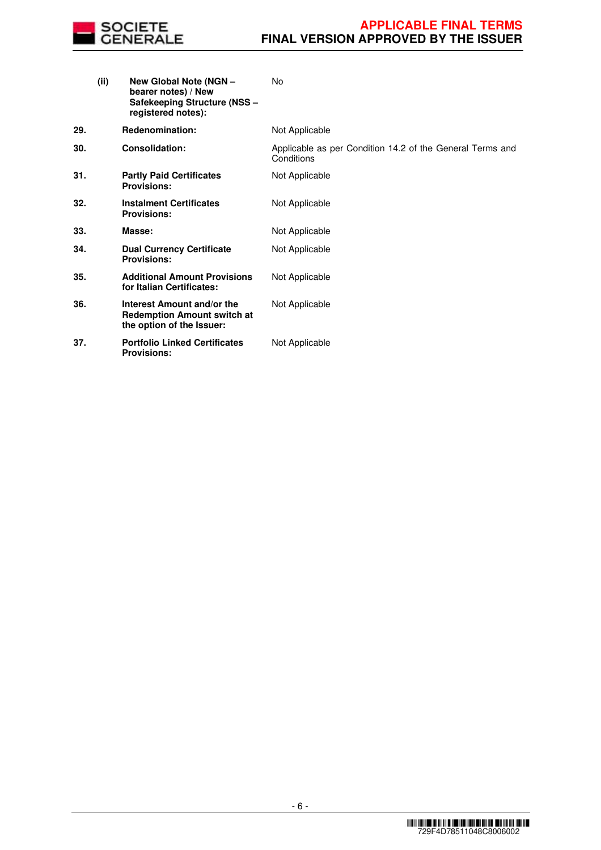

|     | (ii) | New Global Note (NGN -<br>bearer notes) / New<br>Safekeeping Structure (NSS -<br>registered notes): | No                                                                      |
|-----|------|-----------------------------------------------------------------------------------------------------|-------------------------------------------------------------------------|
| 29. |      | <b>Redenomination:</b>                                                                              | Not Applicable                                                          |
| 30. |      | <b>Consolidation:</b>                                                                               | Applicable as per Condition 14.2 of the General Terms and<br>Conditions |
| 31. |      | <b>Partly Paid Certificates</b><br><b>Provisions:</b>                                               | Not Applicable                                                          |
| 32. |      | <b>Instalment Certificates</b><br><b>Provisions:</b>                                                | Not Applicable                                                          |
| 33. |      | Masse:                                                                                              | Not Applicable                                                          |
| 34. |      | <b>Dual Currency Certificate</b><br><b>Provisions:</b>                                              | Not Applicable                                                          |
| 35. |      | <b>Additional Amount Provisions</b><br>for Italian Certificates:                                    | Not Applicable                                                          |
| 36. |      | Interest Amount and/or the<br><b>Redemption Amount switch at</b><br>the option of the Issuer:       | Not Applicable                                                          |
| 37. |      | <b>Portfolio Linked Certificates</b><br><b>Provisions:</b>                                          | Not Applicable                                                          |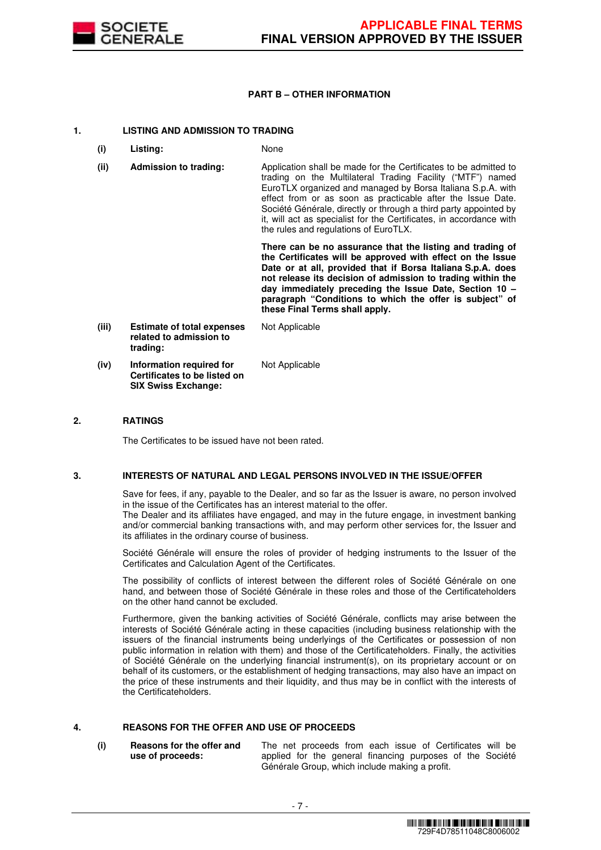

## **PART B – OTHER INFORMATION**

## **1. LISTING AND ADMISSION TO TRADING**

- **(i) Listing:** None
- **(ii) Admission to trading:** Application shall be made for the Certificates to be admitted to trading on the Multilateral Trading Facility ("MTF") named EuroTLX organized and managed by Borsa Italiana S.p.A. with effect from or as soon as practicable after the Issue Date. Société Générale, directly or through a third party appointed by it, will act as specialist for the Certificates, in accordance with the rules and regulations of EuroTLX.

 **There can be no assurance that the listing and trading of the Certificates will be approved with effect on the Issue Date or at all, provided that if Borsa Italiana S.p.A. does not release its decision of admission to trading within the day immediately preceding the Issue Date, Section 10 – paragraph "Conditions to which the offer is subject" of these Final Terms shall apply.**

**(iii) Estimate of total expenses related to admission to trading:** Not Applicable **(iv) Information required for Certificates to be listed on SIX Swiss Exchange:** Not Applicable

## **2. RATINGS**

The Certificates to be issued have not been rated.

## **3. INTERESTS OF NATURAL AND LEGAL PERSONS INVOLVED IN THE ISSUE/OFFER**

 Save for fees, if any, payable to the Dealer, and so far as the Issuer is aware, no person involved in the issue of the Certificates has an interest material to the offer.

The Dealer and its affiliates have engaged, and may in the future engage, in investment banking and/or commercial banking transactions with, and may perform other services for, the Issuer and its affiliates in the ordinary course of business.

 Société Générale will ensure the roles of provider of hedging instruments to the Issuer of the Certificates and Calculation Agent of the Certificates.

 The possibility of conflicts of interest between the different roles of Société Générale on one hand, and between those of Société Générale in these roles and those of the Certificateholders on the other hand cannot be excluded.

 Furthermore, given the banking activities of Société Générale, conflicts may arise between the interests of Société Générale acting in these capacities (including business relationship with the issuers of the financial instruments being underlyings of the Certificates or possession of non public information in relation with them) and those of the Certificateholders. Finally, the activities of Société Générale on the underlying financial instrument(s), on its proprietary account or on behalf of its customers, or the establishment of hedging transactions, may also have an impact on the price of these instruments and their liquidity, and thus may be in conflict with the interests of the Certificateholders.

# **4. REASONS FOR THE OFFER AND USE OF PROCEEDS**

**(i) Reasons for the offer and use of proceeds:**

The net proceeds from each issue of Certificates will be applied for the general financing purposes of the Société Générale Group, which include making a profit.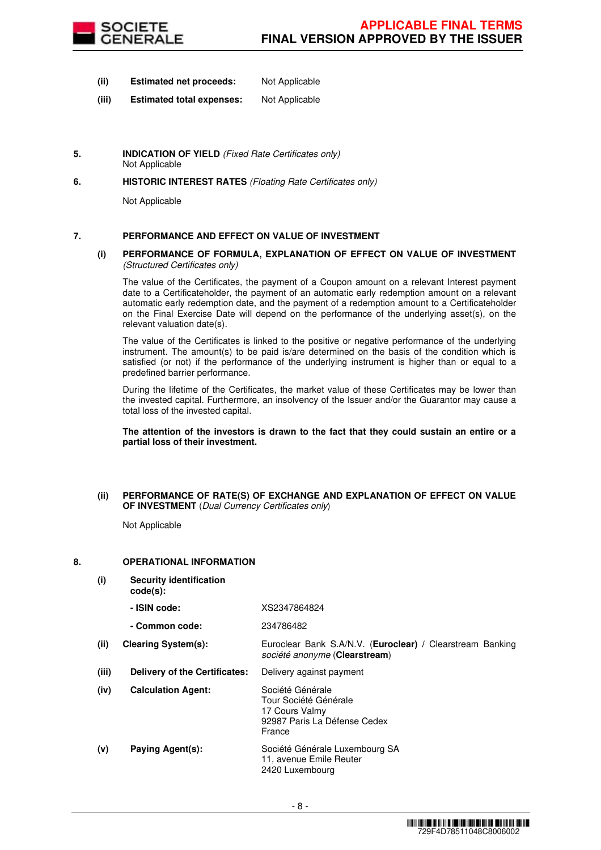

- **(ii) Estimated net proceeds:** Not Applicable
- **(iii) Estimated total expenses:** Not Applicable
- **5. INDICATION OF YIELD** (Fixed Rate Certificates only) Not Applicable
- **6. HISTORIC INTEREST RATES** (Floating Rate Certificates only)

Not Applicable

## **7. PERFORMANCE AND EFFECT ON VALUE OF INVESTMENT**

#### **(i) PERFORMANCE OF FORMULA, EXPLANATION OF EFFECT ON VALUE OF INVESTMENT**  (Structured Certificates only)

 The value of the Certificates, the payment of a Coupon amount on a relevant Interest payment date to a Certificateholder, the payment of an automatic early redemption amount on a relevant automatic early redemption date, and the payment of a redemption amount to a Certificateholder on the Final Exercise Date will depend on the performance of the underlying asset(s), on the relevant valuation date(s).

 The value of the Certificates is linked to the positive or negative performance of the underlying instrument. The amount(s) to be paid is/are determined on the basis of the condition which is satisfied (or not) if the performance of the underlying instrument is higher than or equal to a predefined barrier performance.

 During the lifetime of the Certificates, the market value of these Certificates may be lower than the invested capital. Furthermore, an insolvency of the Issuer and/or the Guarantor may cause a total loss of the invested capital.

**The attention of the investors is drawn to the fact that they could sustain an entire or a partial loss of their investment.**

#### **(ii) PERFORMANCE OF RATE(S) OF EXCHANGE AND EXPLANATION OF EFFECT ON VALUE OF INVESTMENT** (Dual Currency Certificates only)

Not Applicable

## **8. OPERATIONAL INFORMATION**

**(i) Security identification code(s): - ISIN code:** XS2347864824 **- Common code:** 234786482 **(ii) Clearing System(s):** Euroclear Bank S.A/N.V. (**Euroclear) /** Clearstream Banking société anonyme (**Clearstream**) **(iii) Delivery of the Certificates:** Delivery against payment **(iv) Calculation Agent:** Société Générale Tour Société Générale 17 Cours Valmy 92987 Paris La Défense Cedex France **(v) Paying Agent(s):** Société Générale Luxembourg SA 11, avenue Emile Reuter 2420 Luxembourg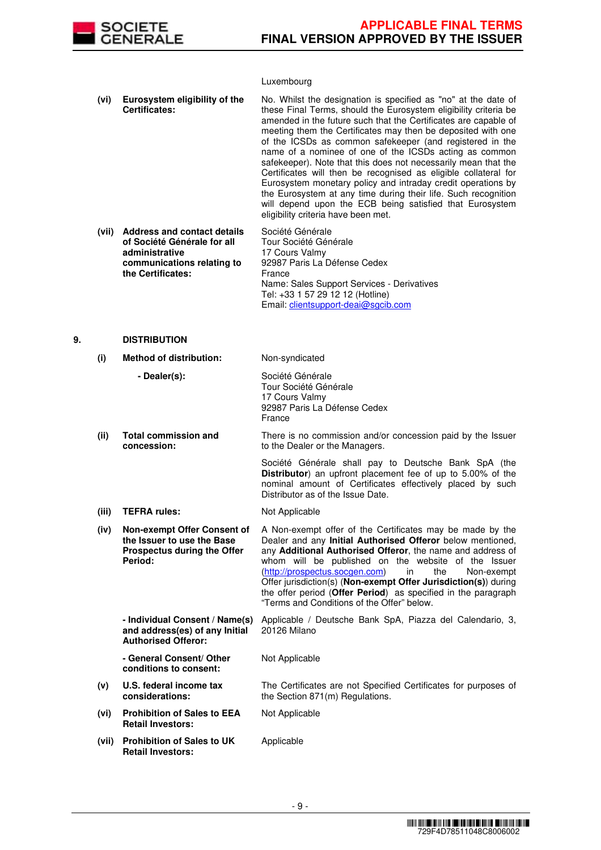

# Luxembourg

|    | (vi)  | Eurosystem eligibility of the<br>Certificates:                                                                                         | No. Whilst the designation is specified as "no" at the date of<br>these Final Terms, should the Eurosystem eligibility criteria be<br>amended in the future such that the Certificates are capable of<br>meeting them the Certificates may then be deposited with one<br>of the ICSDs as common safekeeper (and registered in the<br>name of a nominee of one of the ICSDs acting as common<br>safekeeper). Note that this does not necessarily mean that the<br>Certificates will then be recognised as eligible collateral for<br>Eurosystem monetary policy and intraday credit operations by<br>the Eurosystem at any time during their life. Such recognition<br>will depend upon the ECB being satisfied that Eurosystem<br>eligibility criteria have been met. |
|----|-------|----------------------------------------------------------------------------------------------------------------------------------------|-----------------------------------------------------------------------------------------------------------------------------------------------------------------------------------------------------------------------------------------------------------------------------------------------------------------------------------------------------------------------------------------------------------------------------------------------------------------------------------------------------------------------------------------------------------------------------------------------------------------------------------------------------------------------------------------------------------------------------------------------------------------------|
|    | (vii) | <b>Address and contact details</b><br>of Société Générale for all<br>administrative<br>communications relating to<br>the Certificates: | Société Générale<br>Tour Société Générale<br>17 Cours Valmy<br>92987 Paris La Défense Cedex<br>France<br>Name: Sales Support Services - Derivatives<br>Tel: +33 1 57 29 12 12 (Hotline)<br>Email: clientsupport-deai@sgcib.com                                                                                                                                                                                                                                                                                                                                                                                                                                                                                                                                        |
| 9. |       | <b>DISTRIBUTION</b>                                                                                                                    |                                                                                                                                                                                                                                                                                                                                                                                                                                                                                                                                                                                                                                                                                                                                                                       |
|    | (i)   | <b>Method of distribution:</b>                                                                                                         | Non-syndicated                                                                                                                                                                                                                                                                                                                                                                                                                                                                                                                                                                                                                                                                                                                                                        |

|       | - Dealer(s):                                                                                                      | Société Générale<br>Tour Société Générale<br>17 Cours Valmy<br>92987 Paris La Défense Cedex<br>France                                                                                                                                                                                                                                                                                                                                                                                       |
|-------|-------------------------------------------------------------------------------------------------------------------|---------------------------------------------------------------------------------------------------------------------------------------------------------------------------------------------------------------------------------------------------------------------------------------------------------------------------------------------------------------------------------------------------------------------------------------------------------------------------------------------|
| (ii)  | <b>Total commission and</b><br>concession:                                                                        | There is no commission and/or concession paid by the Issuer<br>to the Dealer or the Managers.                                                                                                                                                                                                                                                                                                                                                                                               |
|       |                                                                                                                   | Société Générale shall pay to Deutsche Bank SpA (the<br><b>Distributor</b> ) an upfront placement fee of up to 5.00% of the<br>nominal amount of Certificates effectively placed by such<br>Distributor as of the Issue Date.                                                                                                                                                                                                                                                               |
| (iii) | <b>TEFRA</b> rules:                                                                                               | Not Applicable                                                                                                                                                                                                                                                                                                                                                                                                                                                                              |
| (iv)  | <b>Non-exempt Offer Consent of</b><br>the Issuer to use the Base<br><b>Prospectus during the Offer</b><br>Period: | A Non-exempt offer of the Certificates may be made by the<br>Dealer and any Initial Authorised Offeror below mentioned,<br>any Additional Authorised Offeror, the name and address of<br>whom will be published on the website of the Issuer<br>(http://prospectus.socgen.com)<br>the<br>in<br>Non-exempt<br>Offer jurisdiction(s) (Non-exempt Offer Jurisdiction(s)) during<br>the offer period (Offer Period) as specified in the paragraph<br>"Terms and Conditions of the Offer" below. |
|       | - Individual Consent / Name(s)<br>and address(es) of any Initial<br><b>Authorised Offeror:</b>                    | Applicable / Deutsche Bank SpA, Piazza del Calendario, 3,<br>20126 Milano                                                                                                                                                                                                                                                                                                                                                                                                                   |
|       | - General Consent/ Other<br>conditions to consent:                                                                | Not Applicable                                                                                                                                                                                                                                                                                                                                                                                                                                                                              |
| (v)   | U.S. federal income tax<br>considerations:                                                                        | The Certificates are not Specified Certificates for purposes of<br>the Section 871(m) Regulations.                                                                                                                                                                                                                                                                                                                                                                                          |
| (vi)  | <b>Prohibition of Sales to EEA</b><br><b>Retail Investors:</b>                                                    | Not Applicable                                                                                                                                                                                                                                                                                                                                                                                                                                                                              |
| (vii) | <b>Prohibition of Sales to UK</b><br><b>Retail Investors:</b>                                                     | Applicable                                                                                                                                                                                                                                                                                                                                                                                                                                                                                  |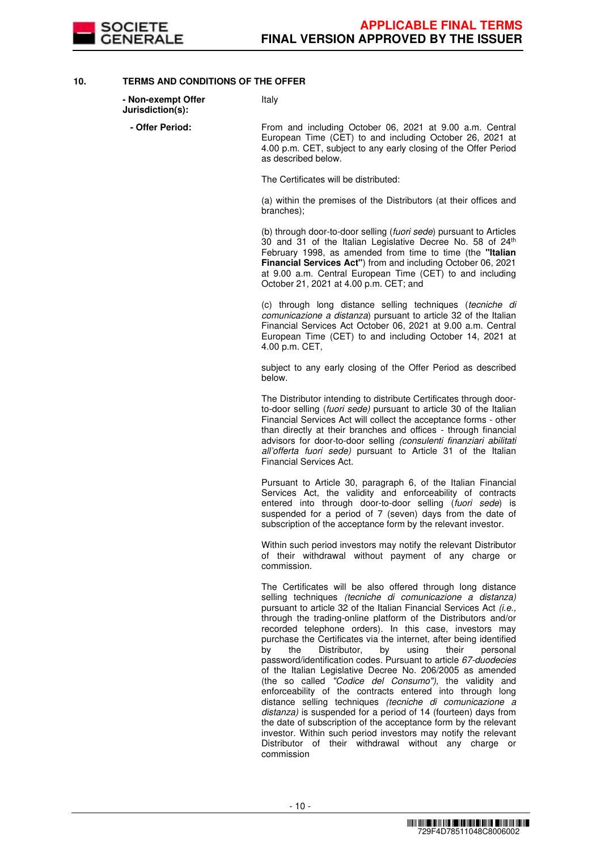

## **10. TERMS AND CONDITIONS OF THE OFFER**

| - Non-exempt Offer<br>Jurisdiction(s): | Italy                                                                                                                                                                                                                                                                          |
|----------------------------------------|--------------------------------------------------------------------------------------------------------------------------------------------------------------------------------------------------------------------------------------------------------------------------------|
| - Offer Period:                        | From and including October 06, 2021 at 9.00 a.m. Central<br>European Time (CET) to and including October 26, 2021 at<br>4.00 p.m. CET, subject to any early closing of the Offer Period<br>as described below.                                                                 |
|                                        | The Certificates will be distributed:                                                                                                                                                                                                                                          |
|                                        | (a) within the premises of the Distributors (at their offices and<br>branches);                                                                                                                                                                                                |
|                                        | (b) through door-to-door selling ( <i>fuori sede</i> ) pursuant to Articles<br>30 and 31 of the Italian Legislative Decree No. 58 of 24th<br>February 1998, as amended from time to time (the "Italian<br><b>Financial Services Act"</b> ) from and including October 06, 2021 |

October 21, 2021 at 4.00 p.m. CET; and

(c) through long distance selling techniques (tecniche di comunicazione a distanza) pursuant to article 32 of the Italian Financial Services Act October 06, 2021 at 9.00 a.m. Central European Time (CET) to and including October 14, 2021 at 4.00 p.m. CET,

at 9.00 a.m. Central European Time (CET) to and including

subject to any early closing of the Offer Period as described below.

The Distributor intending to distribute Certificates through doorto-door selling (fuori sede) pursuant to article 30 of the Italian Financial Services Act will collect the acceptance forms - other than directly at their branches and offices - through financial advisors for door-to-door selling (consulenti finanziari abilitati all'offerta fuori sede) pursuant to Article 31 of the Italian Financial Services Act.

Pursuant to Article 30, paragraph 6, of the Italian Financial Services Act, the validity and enforceability of contracts entered into through door-to-door selling (fuori sede) is suspended for a period of 7 (seven) days from the date of subscription of the acceptance form by the relevant investor.

Within such period investors may notify the relevant Distributor of their withdrawal without payment of any charge or commission.

The Certificates will be also offered through long distance selling techniques (tecniche di comunicazione a distanza) pursuant to article 32 of the Italian Financial Services Act (i.e., through the trading-online platform of the Distributors and/or recorded telephone orders). In this case, investors may purchase the Certificates via the internet, after being identified<br>by the Distributor, by using their personal by the Distributor, by using their password/identification codes. Pursuant to article 67-duodecies of the Italian Legislative Decree No. 206/2005 as amended (the so called "Codice del Consumo"), the validity and enforceability of the contracts entered into through long distance selling techniques (tecniche di comunicazione a distanza) is suspended for a period of 14 (fourteen) days from the date of subscription of the acceptance form by the relevant investor. Within such period investors may notify the relevant Distributor of their withdrawal without any charge or commission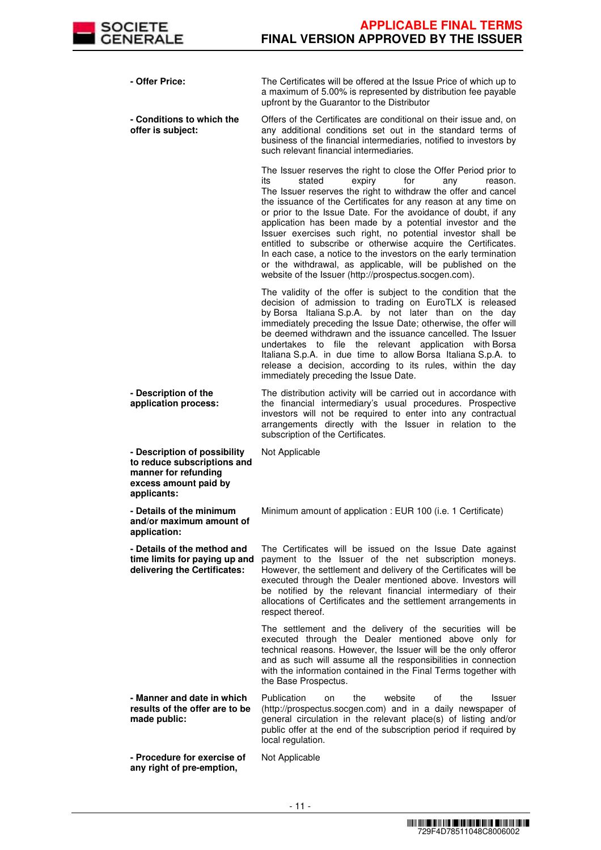

| - Offer Price:                                                                                                              | The Certificates will be offered at the Issue Price of which up to<br>a maximum of 5.00% is represented by distribution fee payable<br>upfront by the Guarantor to the Distributor                                                                                                                                                                                                                                                                                                                                                                                                                                                                                                                                |
|-----------------------------------------------------------------------------------------------------------------------------|-------------------------------------------------------------------------------------------------------------------------------------------------------------------------------------------------------------------------------------------------------------------------------------------------------------------------------------------------------------------------------------------------------------------------------------------------------------------------------------------------------------------------------------------------------------------------------------------------------------------------------------------------------------------------------------------------------------------|
| - Conditions to which the<br>offer is subject:                                                                              | Offers of the Certificates are conditional on their issue and, on<br>any additional conditions set out in the standard terms of<br>business of the financial intermediaries, notified to investors by<br>such relevant financial intermediaries.                                                                                                                                                                                                                                                                                                                                                                                                                                                                  |
|                                                                                                                             | The Issuer reserves the right to close the Offer Period prior to<br>its<br>stated<br>expiry<br>for<br>any<br>reason.<br>The Issuer reserves the right to withdraw the offer and cancel<br>the issuance of the Certificates for any reason at any time on<br>or prior to the Issue Date. For the avoidance of doubt, if any<br>application has been made by a potential investor and the<br>Issuer exercises such right, no potential investor shall be<br>entitled to subscribe or otherwise acquire the Certificates.<br>In each case, a notice to the investors on the early termination<br>or the withdrawal, as applicable, will be published on the<br>website of the Issuer (http://prospectus.socgen.com). |
|                                                                                                                             | The validity of the offer is subject to the condition that the<br>decision of admission to trading on EuroTLX is released<br>by Borsa Italiana S.p.A. by not later than on the day<br>immediately preceding the Issue Date; otherwise, the offer will<br>be deemed withdrawn and the issuance cancelled. The Issuer<br>undertakes to file the relevant application with Borsa<br>Italiana S.p.A. in due time to allow Borsa Italiana S.p.A. to<br>release a decision, according to its rules, within the day<br>immediately preceding the Issue Date.                                                                                                                                                             |
| - Description of the<br>application process:                                                                                | The distribution activity will be carried out in accordance with<br>the financial intermediary's usual procedures. Prospective<br>investors will not be required to enter into any contractual<br>arrangements directly with the Issuer in relation to the<br>subscription of the Certificates.                                                                                                                                                                                                                                                                                                                                                                                                                   |
| - Description of possibility<br>to reduce subscriptions and<br>manner for refunding<br>excess amount paid by<br>applicants: | Not Applicable                                                                                                                                                                                                                                                                                                                                                                                                                                                                                                                                                                                                                                                                                                    |
| - Details of the minimum<br>and/or maximum amount of<br>application:                                                        | Minimum amount of application : EUR 100 (i.e. 1 Certificate)                                                                                                                                                                                                                                                                                                                                                                                                                                                                                                                                                                                                                                                      |
| - Details of the method and<br>time limits for paying up and<br>delivering the Certificates:                                | The Certificates will be issued on the Issue Date against<br>payment to the Issuer of the net subscription moneys.<br>However, the settlement and delivery of the Certificates will be<br>executed through the Dealer mentioned above. Investors will<br>be notified by the relevant financial intermediary of their<br>allocations of Certificates and the settlement arrangements in<br>respect thereof.                                                                                                                                                                                                                                                                                                        |
|                                                                                                                             | The settlement and the delivery of the securities will be<br>executed through the Dealer mentioned above only for<br>technical reasons. However, the Issuer will be the only offeror<br>and as such will assume all the responsibilities in connection<br>with the information contained in the Final Terms together with<br>the Base Prospectus.                                                                                                                                                                                                                                                                                                                                                                 |
| - Manner and date in which<br>results of the offer are to be<br>made public:                                                | Publication<br>the<br>website<br>the<br>οf<br><b>Issuer</b><br>on<br>(http://prospectus.socgen.com) and in a daily newspaper of<br>general circulation in the relevant place(s) of listing and/or<br>public offer at the end of the subscription period if required by<br>local regulation.                                                                                                                                                                                                                                                                                                                                                                                                                       |
| - Procedure for exercise of<br>any right of pre-emption,                                                                    | Not Applicable                                                                                                                                                                                                                                                                                                                                                                                                                                                                                                                                                                                                                                                                                                    |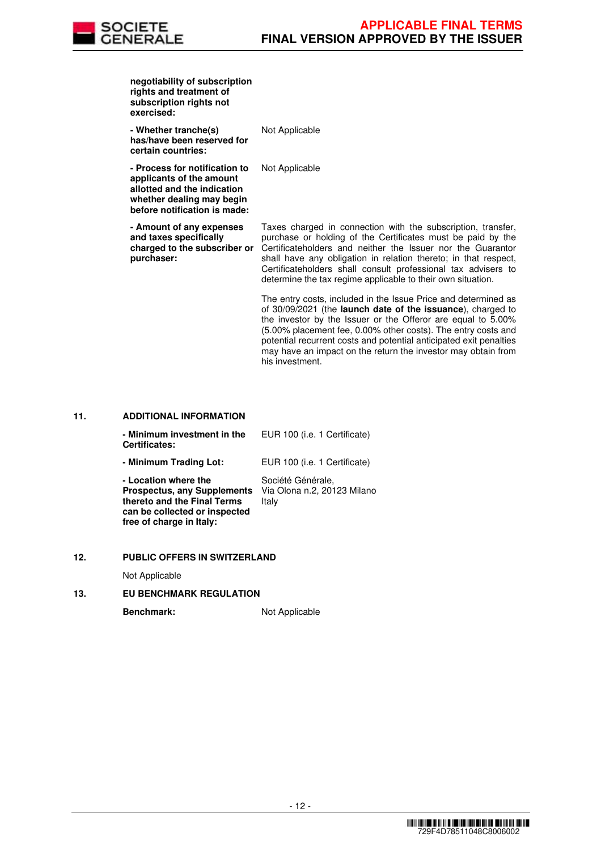

(5.00% placement fee, 0.00% other costs). The entry costs and potential recurrent costs and potential anticipated exit penalties may have an impact on the return the investor may obtain from

| negotiability of subscription<br>rights and treatment of<br>subscription rights not<br>exercised:                                                     |                                                                                                                                                                                                                                                                                                                                                                                               |
|-------------------------------------------------------------------------------------------------------------------------------------------------------|-----------------------------------------------------------------------------------------------------------------------------------------------------------------------------------------------------------------------------------------------------------------------------------------------------------------------------------------------------------------------------------------------|
| - Whether tranche(s)<br>has/have been reserved for<br>certain countries:                                                                              | Not Applicable                                                                                                                                                                                                                                                                                                                                                                                |
| - Process for notification to<br>applicants of the amount<br>allotted and the indication<br>whether dealing may begin<br>before notification is made: | Not Applicable                                                                                                                                                                                                                                                                                                                                                                                |
| - Amount of any expenses<br>and taxes specifically<br>charged to the subscriber or<br>purchaser:                                                      | Taxes charged in connection with the subscription, transfer,<br>purchase or holding of the Certificates must be paid by the<br>Certificateholders and neither the Issuer nor the Guarantor<br>shall have any obligation in relation thereto; in that respect,<br>Certificateholders shall consult professional tax advisers to<br>determine the tax regime applicable to their own situation. |
|                                                                                                                                                       | The entry costs, included in the Issue Price and determined as<br>of 30/09/2021 (the launch date of the issuance), charged to<br>the investor by the Issuer or the Offeror are equal to 5.00%                                                                                                                                                                                                 |

# **11. ADDITIONAL INFORMATION**

| - Minimum investment in the<br><b>Certificates:</b>                                                                                                    | EUR 100 (i.e. 1 Certificate)                              |
|--------------------------------------------------------------------------------------------------------------------------------------------------------|-----------------------------------------------------------|
| - Minimum Trading Lot:                                                                                                                                 | EUR 100 (i.e. 1 Certificate)                              |
| - Location where the<br><b>Prospectus, any Supplements</b><br>thereto and the Final Terms<br>can be collected or inspected<br>free of charge in Italy: | Société Générale,<br>Via Olona n.2, 20123 Milano<br>Italy |

## **12. PUBLIC OFFERS IN SWITZERLAND**

Not Applicable

## **13. EU BENCHMARK REGULATION**

**Benchmark:** Not Applicable

his investment.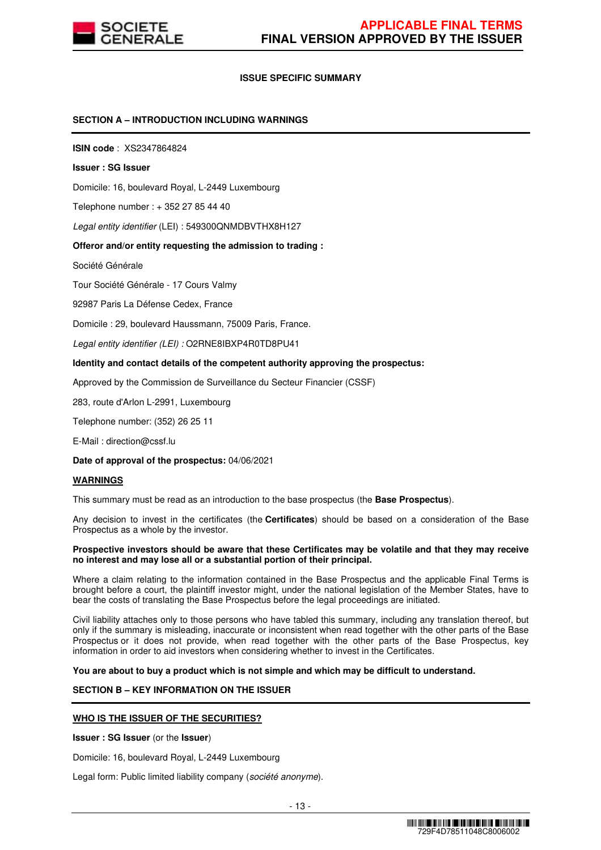

## **ISSUE SPECIFIC SUMMARY**

## **SECTION A – INTRODUCTION INCLUDING WARNINGS**

**ISIN code** : XS2347864824

#### **Issuer : SG Issuer**

Domicile: 16, boulevard Royal, L-2449 Luxembourg

Telephone number : + 352 27 85 44 40

Legal entity identifier (LEI) : 549300QNMDBVTHX8H127

#### **Offeror and/or entity requesting the admission to trading :**

Société Générale

Tour Société Générale - 17 Cours Valmy

92987 Paris La Défense Cedex, France

Domicile : 29, boulevard Haussmann, 75009 Paris, France.

Legal entity identifier (LEI) : O2RNE8IBXP4R0TD8PU41

#### **Identity and contact details of the competent authority approving the prospectus:**

Approved by the Commission de Surveillance du Secteur Financier (CSSF)

283, route d'Arlon L-2991, Luxembourg

Telephone number: (352) 26 25 11

E-Mail : direction@cssf.lu

**Date of approval of the prospectus:** 04/06/2021

#### **WARNINGS**

This summary must be read as an introduction to the base prospectus (the **Base Prospectus**).

Any decision to invest in the certificates (the **Certificates**) should be based on a consideration of the Base Prospectus as a whole by the investor.

#### **Prospective investors should be aware that these Certificates may be volatile and that they may receive no interest and may lose all or a substantial portion of their principal.**

Where a claim relating to the information contained in the Base Prospectus and the applicable Final Terms is brought before a court, the plaintiff investor might, under the national legislation of the Member States, have to bear the costs of translating the Base Prospectus before the legal proceedings are initiated.

Civil liability attaches only to those persons who have tabled this summary, including any translation thereof, but only if the summary is misleading, inaccurate or inconsistent when read together with the other parts of the Base Prospectus or it does not provide, when read together with the other parts of the Base Prospectus, key information in order to aid investors when considering whether to invest in the Certificates.

**You are about to buy a product which is not simple and which may be difficult to understand.**

## **SECTION B – KEY INFORMATION ON THE ISSUER**

### **WHO IS THE ISSUER OF THE SECURITIES?**

**Issuer : SG Issuer** (or the **Issuer**)

Domicile: 16, boulevard Royal, L-2449 Luxembourg

Legal form: Public limited liability company (société anonyme).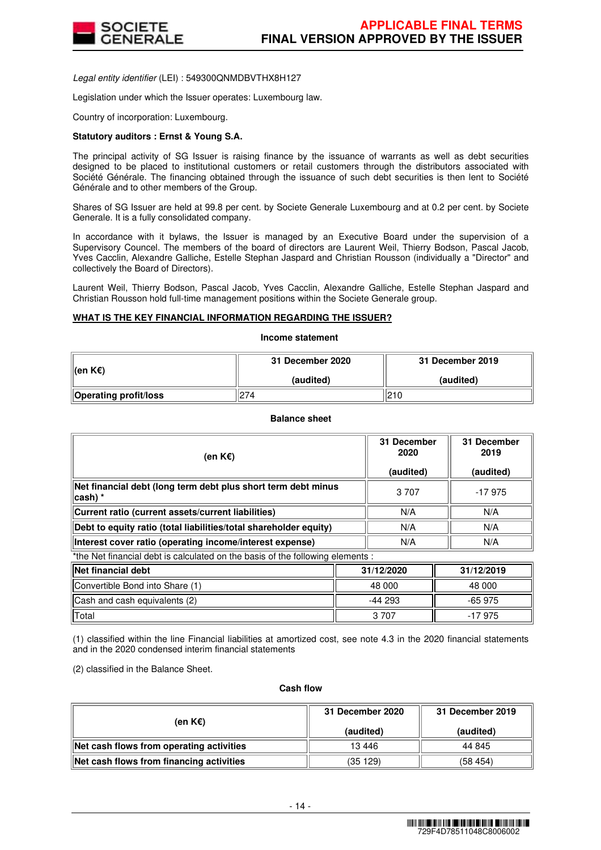

Legal entity identifier (LEI) : 549300QNMDBVTHX8H127

Legislation under which the Issuer operates: Luxembourg law.

Country of incorporation: Luxembourg.

#### **Statutory auditors : Ernst & Young S.A.**

The principal activity of SG Issuer is raising finance by the issuance of warrants as well as debt securities designed to be placed to institutional customers or retail customers through the distributors associated with Société Générale. The financing obtained through the issuance of such debt securities is then lent to Société Générale and to other members of the Group.

Shares of SG Issuer are held at 99.8 per cent. by Societe Generale Luxembourg and at 0.2 per cent. by Societe Generale. It is a fully consolidated company.

In accordance with it bylaws, the Issuer is managed by an Executive Board under the supervision of a Supervisory Councel. The members of the board of directors are Laurent Weil, Thierry Bodson, Pascal Jacob, Yves Cacclin, Alexandre Galliche, Estelle Stephan Jaspard and Christian Rousson (individually a "Director" and collectively the Board of Directors).

Laurent Weil, Thierry Bodson, Pascal Jacob, Yves Cacclin, Alexandre Galliche, Estelle Stephan Jaspard and Christian Rousson hold full-time management positions within the Societe Generale group.

## **WHAT IS THE KEY FINANCIAL INFORMATION REGARDING THE ISSUER?**

**Income statement**

| ∥(en K€)                     | 31 December 2020 | 31 December 2019 |  |
|------------------------------|------------------|------------------|--|
|                              | (audited)        | (audited)        |  |
| <b>Operating profit/loss</b> | 274              | 210              |  |

#### **Balance sheet**

| (en K€)                                                                        | 31 December<br>2020<br>(audited) | 31 December<br>2019<br>(audited) |  |  |
|--------------------------------------------------------------------------------|----------------------------------|----------------------------------|--|--|
| Net financial debt (long term debt plus short term debt minus<br>∣cash) *      | 3 7 0 7                          | -17975                           |  |  |
| Current ratio (current assets/current liabilities)                             | N/A                              | N/A                              |  |  |
| Debt to equity ratio (total liabilities/total shareholder equity)              | N/A                              | N/A                              |  |  |
| Interest cover ratio (operating income/interest expense)                       | N/A                              | N/A                              |  |  |
| *the Net financial debt is calculated on the basis of the following elements : |                                  |                                  |  |  |

| <b>Net financial debt</b>       | 31/12/2020 | 31/12/2019 |
|---------------------------------|------------|------------|
| Convertible Bond into Share (1) | 48 000     | 48 000     |
| Cash and cash equivalents (2)   | $-44293$   | $-65975$   |
| <b>Total</b>                    | 3 707      | -17 975    |

(1) classified within the line Financial liabilities at amortized cost, see note 4.3 in the 2020 financial statements and in the 2020 condensed interim financial statements

(2) classified in the Balance Sheet.

#### **Cash flow**

| (en K€)                                  | 31 December 2020 | 31 December 2019 |  |
|------------------------------------------|------------------|------------------|--|
|                                          | (audited)        | (audited)        |  |
| Net cash flows from operating activities | 13 4 46          | 44 845           |  |
| Net cash flows from financing activities | (35 129)         | (58454)          |  |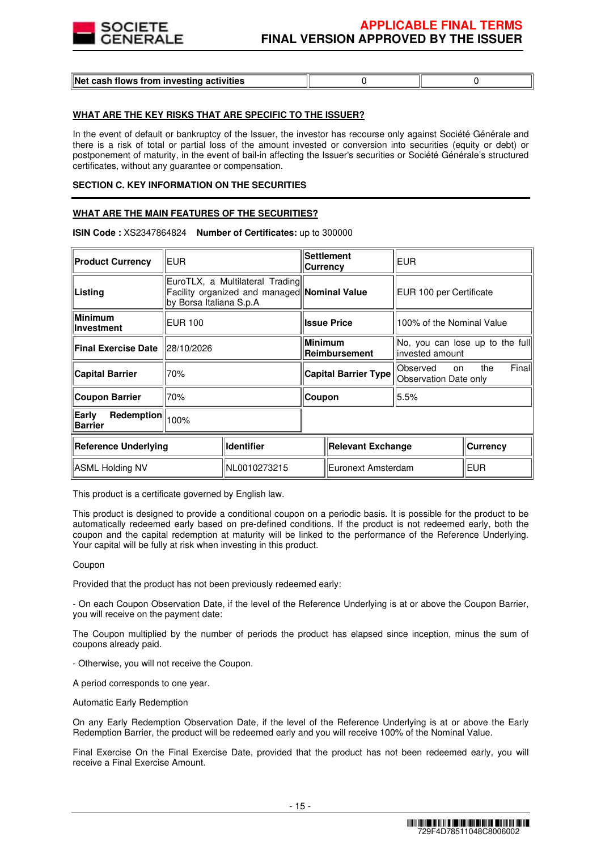

| Net cash flows from investing activities |  |  |
|------------------------------------------|--|--|
|------------------------------------------|--|--|

## **WHAT ARE THE KEY RISKS THAT ARE SPECIFIC TO THE ISSUER?**

In the event of default or bankruptcy of the Issuer, the investor has recourse only against Société Générale and there is a risk of total or partial loss of the amount invested or conversion into securities (equity or debt) or postponement of maturity, in the event of bail-in affecting the Issuer's securities or Société Générale's structured certificates, without any guarantee or compensation.

#### **SECTION C. KEY INFORMATION ON THE SECURITIES**

## **WHAT ARE THE MAIN FEATURES OF THE SECURITIES?**

## **Product Currency LEUR CONSERVING SETTLEM Currency** EUR **Listing** EuroTLX, a Multilateral Trading Facility organized and managed Nominal Value by Borsa Italiana S.p.A **EUR 100 per Certificate Minimum INITED INTERNATION ISSUE Price** 100 **ISSUE Price** 100% of the Nominal Value **Final Exercise Date** 28/10/2026 **Minimum Reimbursement** No, you can lose up to the full invested amount **Capital Barrier**  $\|$ 70% **Capital Barrier Type**  $\|$ Observed on the Final Observation Date only **Coupon Barrier** 70% **Coupon**  $\left\| 5.5\right\|$ **Early** Redemption Early Redemption 100%<br>**Barrier Reference Underlying The Indentifier The Index Index Index Are Index Area Index Are Index Area Index Area Index** ASML Holding NV ||NL0010273215 ||Euronext Amsterdam ||EUR

**ISIN Code :** XS2347864824 **Number of Certificates:** up to 300000

This product is a certificate governed by English law.

This product is designed to provide a conditional coupon on a periodic basis. It is possible for the product to be automatically redeemed early based on pre-defined conditions. If the product is not redeemed early, both the coupon and the capital redemption at maturity will be linked to the performance of the Reference Underlying. Your capital will be fully at risk when investing in this product.

#### Coupon

Provided that the product has not been previously redeemed early:

- On each Coupon Observation Date, if the level of the Reference Underlying is at or above the Coupon Barrier, you will receive on the payment date:

The Coupon multiplied by the number of periods the product has elapsed since inception, minus the sum of coupons already paid.

- Otherwise, you will not receive the Coupon.

A period corresponds to one year.

Automatic Early Redemption

On any Early Redemption Observation Date, if the level of the Reference Underlying is at or above the Early Redemption Barrier, the product will be redeemed early and you will receive 100% of the Nominal Value.

Final Exercise On the Final Exercise Date, provided that the product has not been redeemed early, you will receive a Final Exercise Amount.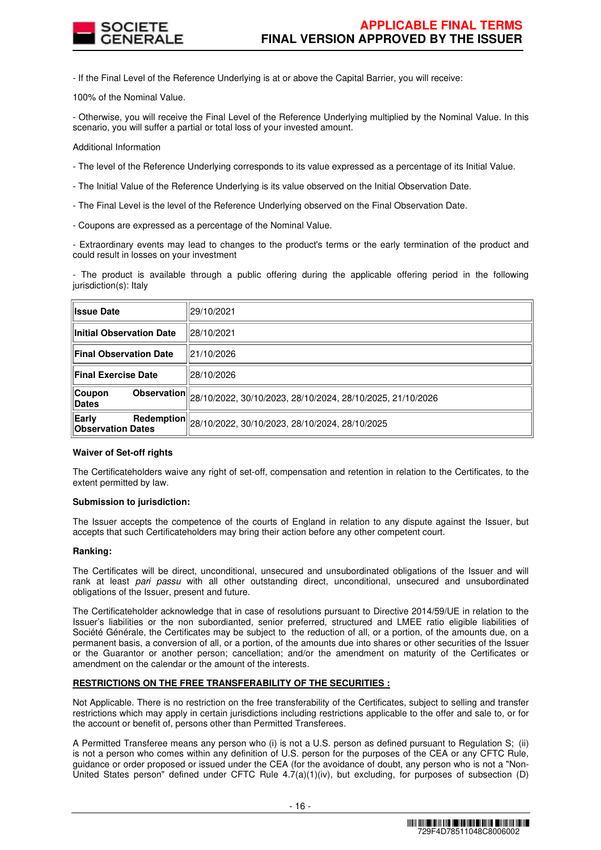

- If the Final Level of the Reference Underlying is at or above the Capital Barrier, you will receive:

100% of the Nominal Value.

- Otherwise, you will receive the Final Level of the Reference Underlying multiplied by the Nominal Value. In this scenario, you will suffer a partial or total loss of your invested amount.

Additional Information

- The level of the Reference Underlying corresponds to its value expressed as a percentage of its Initial Value.
- The Initial Value of the Reference Underlying is its value observed on the Initial Observation Date.
- The Final Level is the level of the Reference Underlying observed on the Final Observation Date.
- Coupons are expressed as a percentage of the Nominal Value.

- Extraordinary events may lead to changes to the product's terms or the early termination of the product and could result in losses on your investment

- The product is available through a public offering during the applicable offering period in the following jurisdiction(s): Italy

| <b>Issue Date</b>                                      | 29/10/2021                                                 |
|--------------------------------------------------------|------------------------------------------------------------|
| <b>Initial Observation Date</b>                        | ll28/10/2021                                               |
| <b>Final Observation Date</b>                          | 21/10/2026                                                 |
| <b>Final Exercise Date</b>                             | 28/10/2026                                                 |
| <b>Observation</b><br>∣Coupon<br><b>Dates</b>          | 28/10/2022, 30/10/2023, 28/10/2024, 28/10/2025, 21/10/2026 |
| Early<br><b>Redemption</b><br><b>Observation Dates</b> | 28/10/2022, 30/10/2023, 28/10/2024, 28/10/2025             |

## **Waiver of Set-off rights**

The Certificateholders waive any right of set-off, compensation and retention in relation to the Certificates, to the extent permitted by law.

#### **Submission to jurisdiction:**

The Issuer accepts the competence of the courts of England in relation to any dispute against the Issuer, but accepts that such Certificateholders may bring their action before any other competent court.

#### **Ranking:**

The Certificates will be direct, unconditional, unsecured and unsubordinated obligations of the Issuer and will rank at least pari passu with all other outstanding direct, unconditional, unsecured and unsubordinated obligations of the Issuer, present and future.

The Certificateholder acknowledge that in case of resolutions pursuant to Directive 2014/59/UE in relation to the Issuer's liabilities or the non subordianted, senior preferred, structured and LMEE ratio eligible liabilities of Société Générale, the Certificates may be subject to the reduction of all, or a portion, of the amounts due, on a permanent basis, a conversion of all, or a portion, of the amounts due into shares or other securities of the Issuer or the Guarantor or another person; cancellation; and/or the amendment on maturity of the Certificates or amendment on the calendar or the amount of the interests.

#### **RESTRICTIONS ON THE FREE TRANSFERABILITY OF THE SECURITIES :**

Not Applicable. There is no restriction on the free transferability of the Certificates, subject to selling and transfer restrictions which may apply in certain jurisdictions including restrictions applicable to the offer and sale to, or for the account or benefit of, persons other than Permitted Transferees.

A Permitted Transferee means any person who (i) is not a U.S. person as defined pursuant to Regulation S; (ii) is not a person who comes within any definition of U.S. person for the purposes of the CEA or any CFTC Rule, guidance or order proposed or issued under the CEA (for the avoidance of doubt, any person who is not a "Non-United States person" defined under CFTC Rule 4.7(a)(1)(iv), but excluding, for purposes of subsection (D)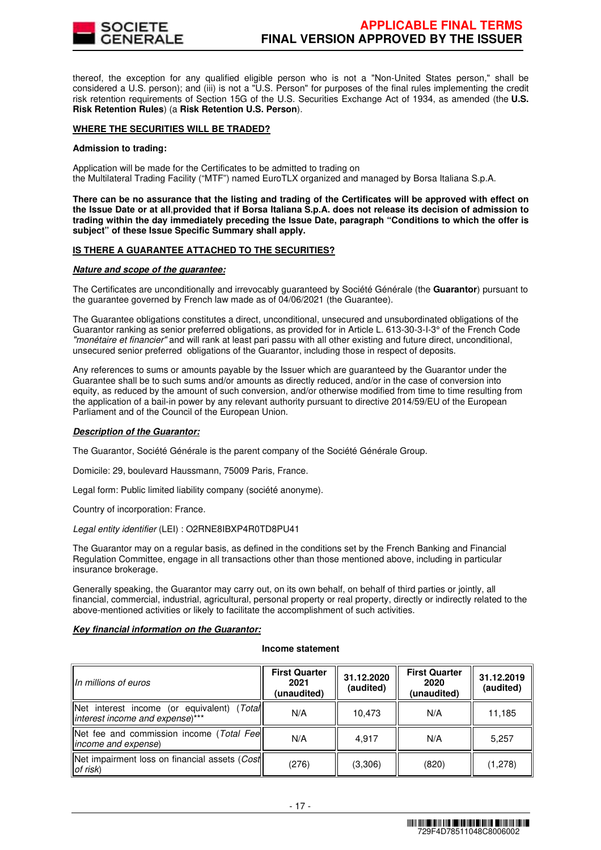

thereof, the exception for any qualified eligible person who is not a "Non-United States person," shall be considered a U.S. person); and (iii) is not a "U.S. Person" for purposes of the final rules implementing the credit risk retention requirements of Section 15G of the U.S. Securities Exchange Act of 1934, as amended (the **U.S. Risk Retention Rules**) (a **Risk Retention U.S. Person**).

## **WHERE THE SECURITIES WILL BE TRADED?**

#### **Admission to trading:**

Application will be made for the Certificates to be admitted to trading on the Multilateral Trading Facility ("MTF") named EuroTLX organized and managed by Borsa Italiana S.p.A.

**There can be no assurance that the listing and trading of the Certificates will be approved with effect on the Issue Date or at all**,**provided that if Borsa Italiana S.p.A. does not release its decision of admission to trading within the day immediately preceding the Issue Date, paragraph "Conditions to which the offer is subject" of these Issue Specific Summary shall apply.**

## **IS THERE A GUARANTEE ATTACHED TO THE SECURITIES?**

#### **Nature and scope of the guarantee:**

The Certificates are unconditionally and irrevocably guaranteed by Société Générale (the **Guarantor**) pursuant to the guarantee governed by French law made as of 04/06/2021 (the Guarantee).

The Guarantee obligations constitutes a direct, unconditional, unsecured and unsubordinated obligations of the Guarantor ranking as senior preferred obligations, as provided for in Article L. 613-30-3-I-3° of the French Code "monétaire et financier" and will rank at least pari passu with all other existing and future direct, unconditional, unsecured senior preferred obligations of the Guarantor, including those in respect of deposits.

Any references to sums or amounts payable by the Issuer which are guaranteed by the Guarantor under the Guarantee shall be to such sums and/or amounts as directly reduced, and/or in the case of conversion into equity, as reduced by the amount of such conversion, and/or otherwise modified from time to time resulting from the application of a bail-in power by any relevant authority pursuant to directive 2014/59/EU of the European Parliament and of the Council of the European Union.

## **Description of the Guarantor:**

The Guarantor, Société Générale is the parent company of the Société Générale Group.

Domicile: 29, boulevard Haussmann, 75009 Paris, France.

Legal form: Public limited liability company (société anonyme).

Country of incorporation: France.

Legal entity identifier (LEI) : O2RNE8IBXP4R0TD8PU41

The Guarantor may on a regular basis, as defined in the conditions set by the French Banking and Financial Regulation Committee, engage in all transactions other than those mentioned above, including in particular insurance brokerage.

Generally speaking, the Guarantor may carry out, on its own behalf, on behalf of third parties or jointly, all financial, commercial, industrial, agricultural, personal property or real property, directly or indirectly related to the above-mentioned activities or likely to facilitate the accomplishment of such activities.

## **Key financial information on the Guarantor:**

#### **Income statement**

| IIn millions of euros                                                            | <b>First Quarter</b><br>2021<br>(unaudited) | 31.12.2020<br>(audited) | <b>First Quarter</b><br>2020<br>(unaudited) | 31.12.2019<br>(audited) |
|----------------------------------------------------------------------------------|---------------------------------------------|-------------------------|---------------------------------------------|-------------------------|
| Net interest income (or equivalent)<br>(Total<br>Interest income and expense)*** | N/A                                         | 10,473                  | N/A                                         | 11,185                  |
| Net fee and commission income (Total Fee<br>lincome and expense)                 | N/A                                         | 4.917                   | N/A                                         | 5.257                   |
| Net impairment loss on financial assets (Cost<br>$\vert \vert$ of risk)          | (276)                                       | (3,306)                 | (820)                                       | (1,278)                 |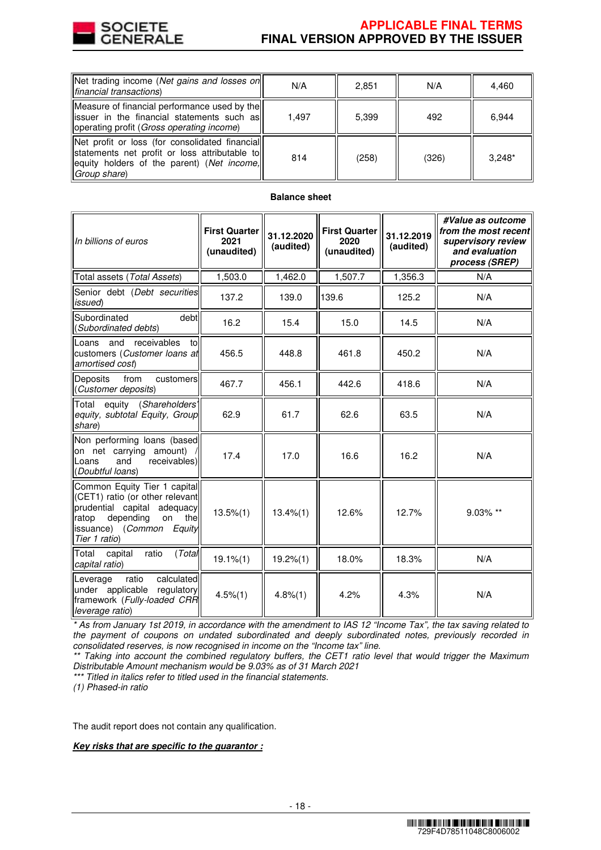

# **APPLICABLE FINAL TERMS FINAL VERSION APPROVED BY THE ISSUER**

| Net trading income (Net gains and losses on<br>financial transactions                                                                                           | N/A   | 2,851 | N/A   | 4,460    |
|-----------------------------------------------------------------------------------------------------------------------------------------------------------------|-------|-------|-------|----------|
| Measure of financial performance used by the<br>lissuer in the financial statements such as<br>operating profit (Gross operating income)                        | 1.497 | 5.399 | 492   | 6.944    |
| Net profit or loss (for consolidated financial<br>statements net profit or loss attributable toll<br>equity holders of the parent) (Net income,<br>Group share) | 814   | (258) | (326) | $3.248*$ |

## **Balance sheet**

| In billions of euros                                                                                                                                                              | <b>First Quarter</b><br>2021<br>(unaudited) | 31.12.2020<br>(audited) | <b>First Quarter</b><br>2020<br>(unaudited) | 31.12.2019<br>(audited) | #Value as outcome<br>from the most recent<br>supervisory review<br>and evaluation<br>process (SREP) |
|-----------------------------------------------------------------------------------------------------------------------------------------------------------------------------------|---------------------------------------------|-------------------------|---------------------------------------------|-------------------------|-----------------------------------------------------------------------------------------------------|
| Total assets (Total Assets)                                                                                                                                                       | 1,503.0                                     | 1,462.0                 | 1,507.7                                     | 1,356.3                 | N/A                                                                                                 |
| Senior debt (Debt securities<br>issued)                                                                                                                                           | 137.2                                       | 139.0                   | 139.6                                       | 125.2                   | N/A                                                                                                 |
| debt<br>Subordinated<br>(Subordinated debts)                                                                                                                                      | 16.2                                        | 15.4                    | 15.0                                        | 14.5                    | N/A                                                                                                 |
| and<br>receivables<br>to<br>Loans<br>customers (Customer loans at<br>amortised cost)                                                                                              | 456.5                                       | 448.8                   | 461.8                                       | 450.2                   | N/A                                                                                                 |
| from<br>Deposits<br>customers<br>(Customer deposits)                                                                                                                              | 467.7                                       | 456.1                   | 442.6                                       | 418.6                   | N/A                                                                                                 |
| equity (Shareholders'<br>Total<br>equity, subtotal Equity, Group<br>share)                                                                                                        | 62.9                                        | 61.7                    | 62.6                                        | 63.5                    | N/A                                                                                                 |
| Non performing loans (based<br>on net carrying amount)<br>receivables)<br>and<br>Loans<br>(Doubtful loans)                                                                        | 17.4                                        | 17.0                    | 16.6                                        | 16.2                    | N/A                                                                                                 |
| Common Equity Tier 1 capital<br>(CET1) ratio (or other relevant<br>prudential capital adequacy<br>depending<br>on<br>ratop<br>the<br>issuance) (Common<br>Equity<br>Tier 1 ratio) | $13.5\%(1)$                                 | $13.4\%(1)$             | 12.6%                                       | 12.7%                   | 9.03% **                                                                                            |
| Total<br>(Total<br>capital<br>ratio<br>capital ratio)                                                                                                                             | $19.1\% (1)$                                | 19.2%(1)                | 18.0%                                       | 18.3%                   | N/A                                                                                                 |
| calculated<br>ratio<br>Leverage<br>under applicable<br>regulatory<br>framework (Fully-loaded CRR<br>leverage ratio)                                                               | $4.5\%(1)$                                  | 4.8%(1)                 | 4.2%                                        | 4.3%                    | N/A                                                                                                 |

\* As from January 1st 2019, in accordance with the amendment to IAS 12 "Income Tax", the tax saving related to the payment of coupons on undated subordinated and deeply subordinated notes, previously recorded in consolidated reserves, is now recognised in income on the "Income tax" line.

\*\* Taking into account the combined regulatory buffers, the CET1 ratio level that would trigger the Maximum Distributable Amount mechanism would be 9.03% as of 31 March 2021

\*\*\* Titled in italics refer to titled used in the financial statements.

(1) Phased-in ratio

The audit report does not contain any qualification.

# **Key risks that are specific to the guarantor :**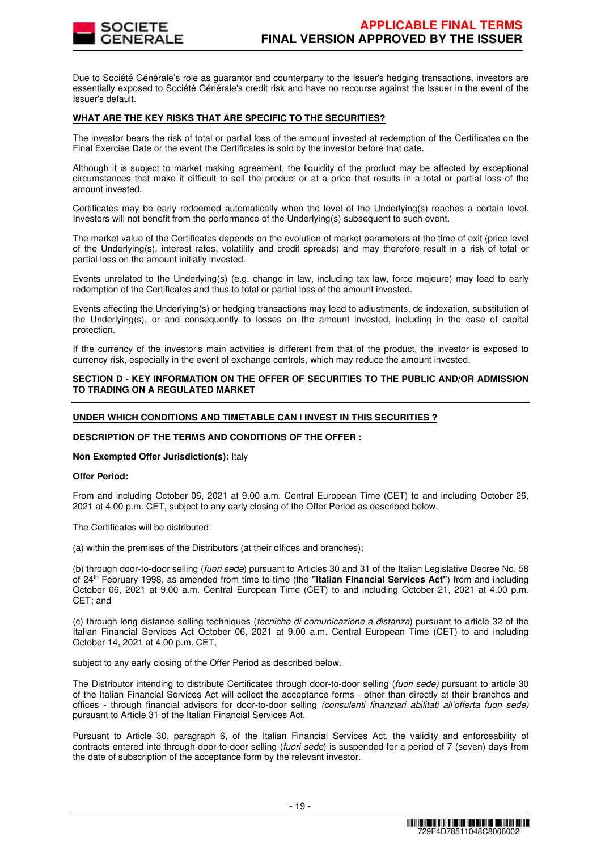

Due to Société Générale's role as guarantor and counterparty to the Issuer's hedging transactions, investors are essentially exposed to Société Générale's credit risk and have no recourse against the Issuer in the event of the Issuer's default.

## **WHAT ARE THE KEY RISKS THAT ARE SPECIFIC TO THE SECURITIES?**

The investor bears the risk of total or partial loss of the amount invested at redemption of the Certificates on the Final Exercise Date or the event the Certificates is sold by the investor before that date.

Although it is subject to market making agreement, the liquidity of the product may be affected by exceptional circumstances that make it difficult to sell the product or at a price that results in a total or partial loss of the amount invested.

Certificates may be early redeemed automatically when the level of the Underlying(s) reaches a certain level. Investors will not benefit from the performance of the Underlying(s) subsequent to such event.

The market value of the Certificates depends on the evolution of market parameters at the time of exit (price level of the Underlying(s), interest rates, volatility and credit spreads) and may therefore result in a risk of total or partial loss on the amount initially invested.

Events unrelated to the Underlying(s) (e.g. change in law, including tax law, force majeure) may lead to early redemption of the Certificates and thus to total or partial loss of the amount invested.

Events affecting the Underlying(s) or hedging transactions may lead to adjustments, de-indexation, substitution of the Underlying(s), or and consequently to losses on the amount invested, including in the case of capital protection.

If the currency of the investor's main activities is different from that of the product, the investor is exposed to currency risk, especially in the event of exchange controls, which may reduce the amount invested.

## **SECTION D - KEY INFORMATION ON THE OFFER OF SECURITIES TO THE PUBLIC AND/OR ADMISSION TO TRADING ON A REGULATED MARKET**

## **UNDER WHICH CONDITIONS AND TIMETABLE CAN I INVEST IN THIS SECURITIES ?**

#### **DESCRIPTION OF THE TERMS AND CONDITIONS OF THE OFFER :**

## **Non Exempted Offer Jurisdiction(s):** Italy

#### **Offer Period:**

From and including October 06, 2021 at 9.00 a.m. Central European Time (CET) to and including October 26, 2021 at 4.00 p.m. CET, subject to any early closing of the Offer Period as described below.

The Certificates will be distributed:

(a) within the premises of the Distributors (at their offices and branches);

(b) through door-to-door selling (fuori sede) pursuant to Articles 30 and 31 of the Italian Legislative Decree No. 58 of 24th February 1998, as amended from time to time (the **"Italian Financial Services Act"**) from and including October 06, 2021 at 9.00 a.m. Central European Time (CET) to and including October 21, 2021 at 4.00 p.m. CET; and

(c) through long distance selling techniques (tecniche di comunicazione a distanza) pursuant to article 32 of the Italian Financial Services Act October 06, 2021 at 9.00 a.m. Central European Time (CET) to and including October 14, 2021 at 4.00 p.m. CET,

subject to any early closing of the Offer Period as described below.

The Distributor intending to distribute Certificates through door-to-door selling (fuori sede) pursuant to article 30 of the Italian Financial Services Act will collect the acceptance forms - other than directly at their branches and offices - through financial advisors for door-to-door selling (consulenti finanziari abilitati all'offerta fuori sede) pursuant to Article 31 of the Italian Financial Services Act.

Pursuant to Article 30, paragraph 6, of the Italian Financial Services Act, the validity and enforceability of contracts entered into through door-to-door selling (fuori sede) is suspended for a period of 7 (seven) days from the date of subscription of the acceptance form by the relevant investor.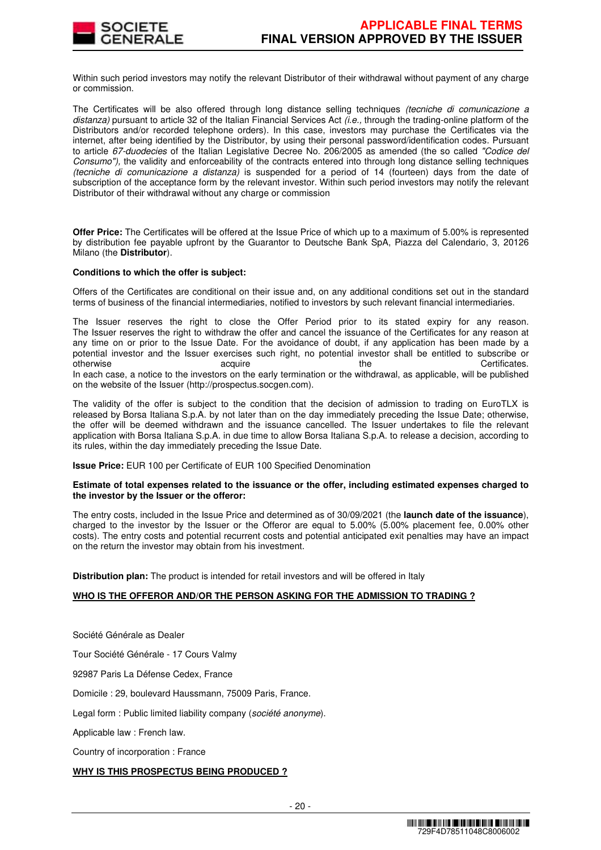

Within such period investors may notify the relevant Distributor of their withdrawal without payment of any charge or commission.

The Certificates will be also offered through long distance selling techniques (tecniche di comunicazione a distanza) pursuant to article 32 of the Italian Financial Services Act  $\ddot{\mu}e$ , through the trading-online platform of the Distributors and/or recorded telephone orders). In this case, investors may purchase the Certificates via the internet, after being identified by the Distributor, by using their personal password/identification codes. Pursuant to article 67-duodecies of the Italian Legislative Decree No. 206/2005 as amended (the so called "Codice del Consumo"), the validity and enforceability of the contracts entered into through long distance selling techniques (tecniche di comunicazione a distanza) is suspended for a period of 14 (fourteen) days from the date of subscription of the acceptance form by the relevant investor. Within such period investors may notify the relevant Distributor of their withdrawal without any charge or commission

**Offer Price:** The Certificates will be offered at the Issue Price of which up to a maximum of 5.00% is represented by distribution fee payable upfront by the Guarantor to Deutsche Bank SpA, Piazza del Calendario, 3, 20126 Milano (the **Distributor**).

#### **Conditions to which the offer is subject:**

Offers of the Certificates are conditional on their issue and, on any additional conditions set out in the standard terms of business of the financial intermediaries, notified to investors by such relevant financial intermediaries.

The Issuer reserves the right to close the Offer Period prior to its stated expiry for any reason. The Issuer reserves the right to withdraw the offer and cancel the issuance of the Certificates for any reason at any time on or prior to the Issue Date. For the avoidance of doubt, if any application has been made by a potential investor and the Issuer exercises such right, no potential investor shall be entitled to subscribe or otherwise acquire acquire the the Certificates. In each case, a notice to the investors on the early termination or the withdrawal, as applicable, will be published on the website of the Issuer (http://prospectus.socgen.com).

The validity of the offer is subject to the condition that the decision of admission to trading on EuroTLX is released by Borsa Italiana S.p.A. by not later than on the day immediately preceding the Issue Date; otherwise, the offer will be deemed withdrawn and the issuance cancelled. The Issuer undertakes to file the relevant application with Borsa Italiana S.p.A. in due time to allow Borsa Italiana S.p.A. to release a decision, according to its rules, within the day immediately preceding the Issue Date.

**Issue Price:** EUR 100 per Certificate of EUR 100 Specified Denomination

#### **Estimate of total expenses related to the issuance or the offer, including estimated expenses charged to the investor by the Issuer or the offeror:**

The entry costs, included in the Issue Price and determined as of 30/09/2021 (the **launch date of the issuance**), charged to the investor by the Issuer or the Offeror are equal to 5.00% (5.00% placement fee, 0.00% other costs). The entry costs and potential recurrent costs and potential anticipated exit penalties may have an impact on the return the investor may obtain from his investment.

**Distribution plan:** The product is intended for retail investors and will be offered in Italy

## **WHO IS THE OFFEROR AND/OR THE PERSON ASKING FOR THE ADMISSION TO TRADING ?**

Société Générale as Dealer

Tour Société Générale - 17 Cours Valmy

92987 Paris La Défense Cedex, France

Domicile : 29, boulevard Haussmann, 75009 Paris, France.

Legal form : Public limited liability company (société anonyme).

Applicable law : French law.

Country of incorporation : France

## **WHY IS THIS PROSPECTUS BEING PRODUCED ?**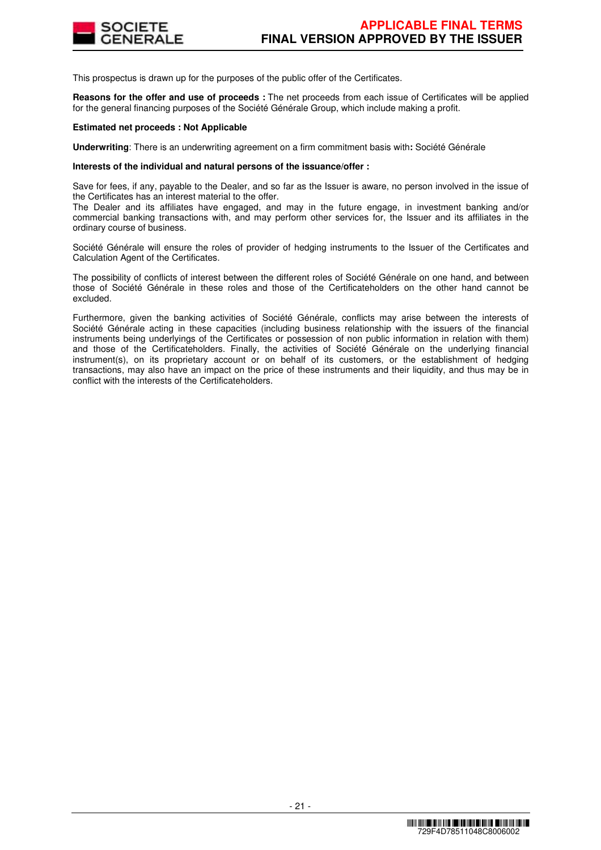

This prospectus is drawn up for the purposes of the public offer of the Certificates.

**Reasons for the offer and use of proceeds :** The net proceeds from each issue of Certificates will be applied for the general financing purposes of the Société Générale Group, which include making a profit.

#### **Estimated net proceeds : Not Applicable**

**Underwriting**: There is an underwriting agreement on a firm commitment basis with**:** Société Générale

#### **Interests of the individual and natural persons of the issuance/offer :**

Save for fees, if any, payable to the Dealer, and so far as the Issuer is aware, no person involved in the issue of the Certificates has an interest material to the offer.

The Dealer and its affiliates have engaged, and may in the future engage, in investment banking and/or commercial banking transactions with, and may perform other services for, the Issuer and its affiliates in the ordinary course of business.

Société Générale will ensure the roles of provider of hedging instruments to the Issuer of the Certificates and Calculation Agent of the Certificates.

The possibility of conflicts of interest between the different roles of Société Générale on one hand, and between those of Société Générale in these roles and those of the Certificateholders on the other hand cannot be excluded.

Furthermore, given the banking activities of Société Générale, conflicts may arise between the interests of Société Générale acting in these capacities (including business relationship with the issuers of the financial instruments being underlyings of the Certificates or possession of non public information in relation with them) and those of the Certificateholders. Finally, the activities of Société Générale on the underlying financial instrument(s), on its proprietary account or on behalf of its customers, or the establishment of hedging transactions, may also have an impact on the price of these instruments and their liquidity, and thus may be in conflict with the interests of the Certificateholders.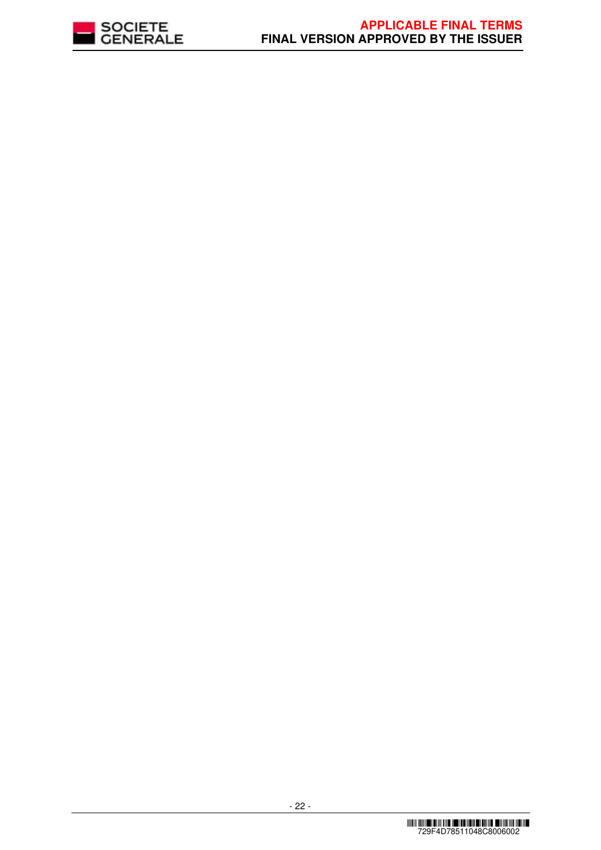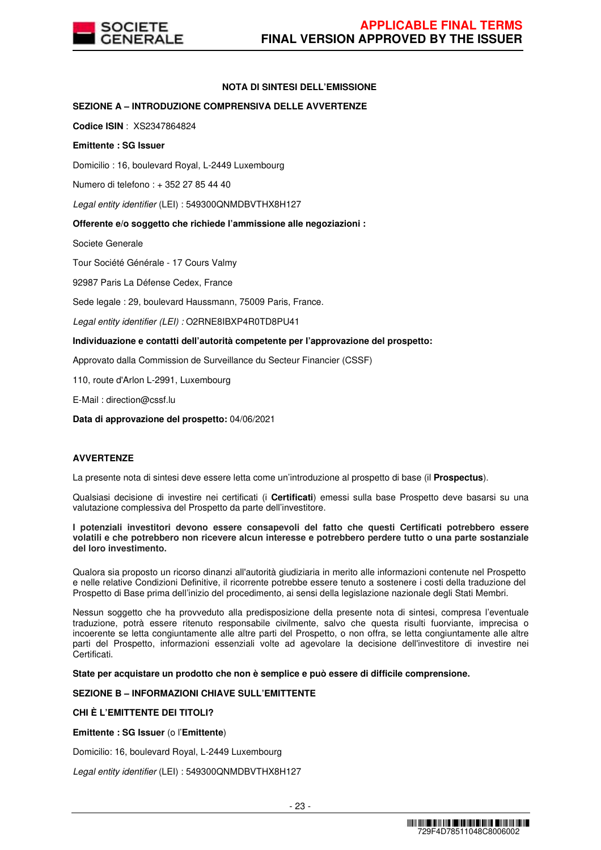

## **NOTA DI SINTESI DELL'EMISSIONE**

## **SEZIONE A – INTRODUZIONE COMPRENSIVA DELLE AVVERTENZE**

**Codice ISIN** : XS2347864824

#### **Emittente : SG Issuer**

Domicilio : 16, boulevard Royal, L-2449 Luxembourg

Numero di telefono : + 352 27 85 44 40

Legal entity identifier (LEI) : 549300QNMDBVTHX8H127

## **Offerente e/o soggetto che richiede l'ammissione alle negoziazioni :**

Societe Generale

Tour Société Générale - 17 Cours Valmy

92987 Paris La Défense Cedex, France

Sede legale : 29, boulevard Haussmann, 75009 Paris, France.

Legal entity identifier (LEI) : O2RNE8IBXP4R0TD8PU41

## **Individuazione e contatti dell'autorità competente per l'approvazione del prospetto:**

Approvato dalla Commission de Surveillance du Secteur Financier (CSSF)

110, route d'Arlon L-2991, Luxembourg

E-Mail : direction@cssf.lu

**Data di approvazione del prospetto:** 04/06/2021

#### **AVVERTENZE**

La presente nota di sintesi deve essere letta come un'introduzione al prospetto di base (il **Prospectus**).

Qualsiasi decisione di investire nei certificati (i **Certificati**) emessi sulla base Prospetto deve basarsi su una valutazione complessiva del Prospetto da parte dell'investitore.

**I potenziali investitori devono essere consapevoli del fatto che questi Certificati potrebbero essere volatili e che potrebbero non ricevere alcun interesse e potrebbero perdere tutto o una parte sostanziale del loro investimento.** 

Qualora sia proposto un ricorso dinanzi all'autorità giudiziaria in merito alle informazioni contenute nel Prospetto e nelle relative Condizioni Definitive, il ricorrente potrebbe essere tenuto a sostenere i costi della traduzione del Prospetto di Base prima dell'inizio del procedimento, ai sensi della legislazione nazionale degli Stati Membri.

Nessun soggetto che ha provveduto alla predisposizione della presente nota di sintesi, compresa l'eventuale traduzione, potrà essere ritenuto responsabile civilmente, salvo che questa risulti fuorviante, imprecisa o incoerente se letta congiuntamente alle altre parti del Prospetto, o non offra, se letta congiuntamente alle altre parti del Prospetto, informazioni essenziali volte ad agevolare la decisione dell'investitore di investire nei Certificati.

**State per acquistare un prodotto che non è semplice e può essere di difficile comprensione.**

## **SEZIONE B – INFORMAZIONI CHIAVE SULL'EMITTENTE**

# **CHI È L'EMITTENTE DEI TITOLI?**

**Emittente : SG Issuer** (o l'**Emittente**)

Domicilio: 16, boulevard Royal, L-2449 Luxembourg

Legal entity identifier (LEI) : 549300QNMDBVTHX8H127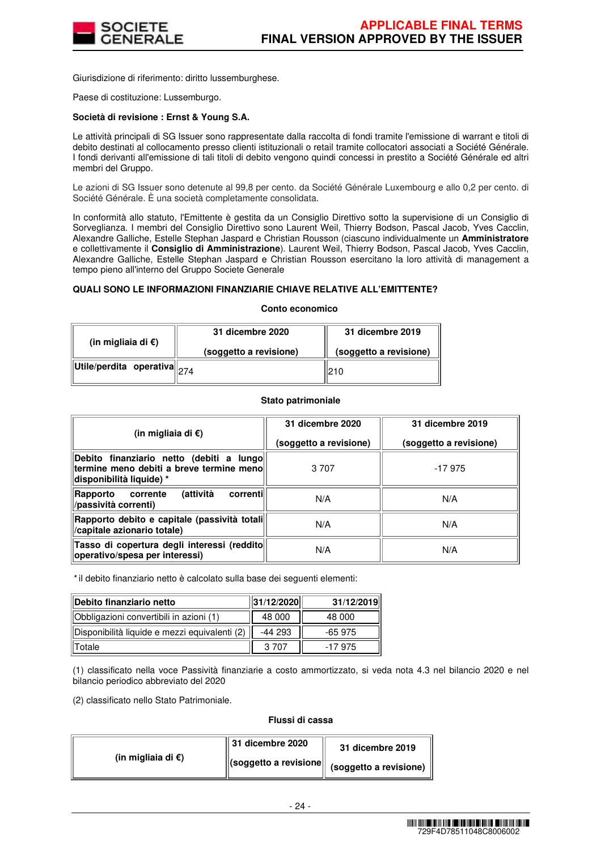

Giurisdizione di riferimento: diritto lussemburghese.

Paese di costituzione: Lussemburgo.

## **Società di revisione : Ernst & Young S.A.**

Le attività principali di SG Issuer sono rappresentate dalla raccolta di fondi tramite l'emissione di warrant e titoli di debito destinati al collocamento presso clienti istituzionali o retail tramite collocatori associati a Société Générale. I fondi derivanti all'emissione di tali titoli di debito vengono quindi concessi in prestito a Société Générale ed altri membri del Gruppo.

Le azioni di SG Issuer sono detenute al 99,8 per cento. da Société Générale Luxembourg e allo 0,2 per cento. di Société Générale. È una società completamente consolidata.

In conformità allo statuto, l'Emittente è gestita da un Consiglio Direttivo sotto la supervisione di un Consiglio di Sorveglianza. I membri del Consiglio Direttivo sono Laurent Weil, Thierry Bodson, Pascal Jacob, Yves Cacclin, Alexandre Galliche, Estelle Stephan Jaspard e Christian Rousson (ciascuno individualmente un **Amministratore**  e collettivamente il **Consiglio di Amministrazione**). Laurent Weil, Thierry Bodson, Pascal Jacob, Yves Cacclin, Alexandre Galliche, Estelle Stephan Jaspard e Christian Rousson esercitano la loro attività di management a tempo pieno all'interno del Gruppo Societe Generale

## **QUALI SONO LE INFORMAZIONI FINANZIARIE CHIAVE RELATIVE ALL'EMITTENTE?**

#### **Conto economico**

| (in migliaia di $\epsilon$ )                                                                       | 31 dicembre 2020       | 31 dicembre 2019       |  |
|----------------------------------------------------------------------------------------------------|------------------------|------------------------|--|
|                                                                                                    | (soggetto a revisione) | (soggetto a revisione) |  |
| $\left\Vert \mathsf{Utile}/\mathsf{perdita} \right\Vert$ operativa $\left\Vert _{274} \right\Vert$ |                        | 210                    |  |

#### **Stato patrimoniale**

| (in migliaia di €)                                                                                                | 31 dicembre 2020<br>(soggetto a revisione) | 31 dicembre 2019<br>(soggetto a revisione) |  |
|-------------------------------------------------------------------------------------------------------------------|--------------------------------------------|--------------------------------------------|--|
| Debito finanziario netto (debiti a lungo<br>termine meno debiti a breve termine menol<br>disponibilità liquide) * | 3 7 0 7                                    | $-17975$                                   |  |
| (attività<br>correntil<br>corrente<br>Rapporto<br>/passività correnti)                                            | N/A                                        | N/A                                        |  |
| Rapporto debito e capitale (passività totali<br>/capitale azionario totale)                                       | N/A                                        | N/A                                        |  |
| Tasso di copertura degli interessi (reddito<br>operativo/spesa per interessi)                                     | N/A                                        | N/A                                        |  |

\* il debito finanziario netto è calcolato sulla base dei seguenti elementi:

| Debito finanziario netto                      | 31/12/2020 | 31/12/2019 |
|-----------------------------------------------|------------|------------|
| Obbligazioni convertibili in azioni (1)       | 48 000     | 48 000     |
| Disponibilità liquide e mezzi equivalenti (2) | -44 293    | $-65975$   |
| Totale                                        | 3.707      | -17 975    |

(1) classificato nella voce Passività finanziarie a costo ammortizzato, si veda nota 4.3 nel bilancio 2020 e nel bilancio periodico abbreviato del 2020

(2) classificato nello Stato Patrimoniale.

#### **Flussi di cassa**

|                              | $\parallel$ 31 dicembre 2020 | 31 dicembre 2019                                                                                        |
|------------------------------|------------------------------|---------------------------------------------------------------------------------------------------------|
| (in migliaia di $\epsilon$ ) |                              | $\left\  \text{(soggetto a revisione} \right\  \text{ (soggetto a revisione) } \ ^{\shortmid \text{ }}$ |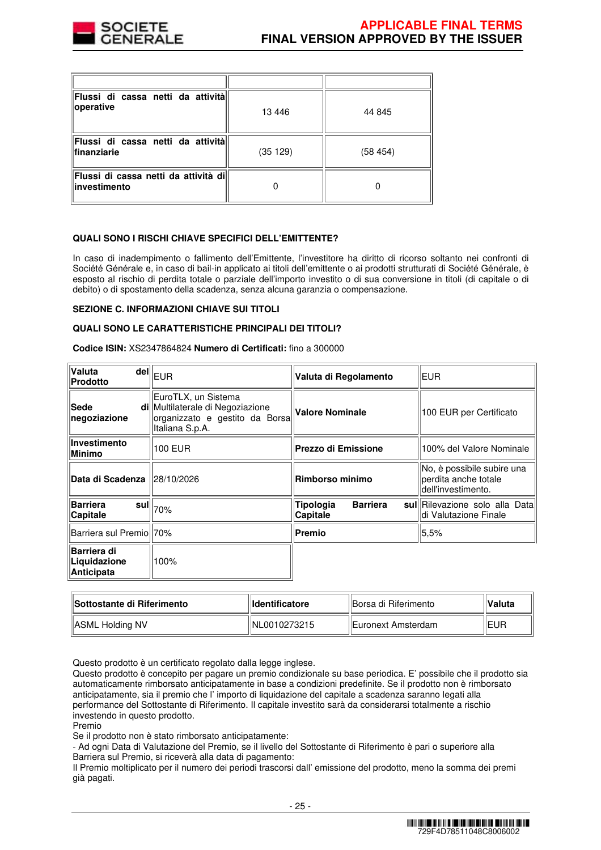

| Flussi di cassa netti da attività<br>operative         | 13446   | 44 845  |
|--------------------------------------------------------|---------|---------|
| Flussi di cassa netti da attivitàl<br>finanziarie      | (35129) | (58454) |
| Flussi di cassa netti da attività dill<br>investimento |         |         |

## **QUALI SONO I RISCHI CHIAVE SPECIFICI DELL'EMITTENTE?**

In caso di inadempimento o fallimento dell'Emittente, l'investitore ha diritto di ricorso soltanto nei confronti di Société Générale e, in caso di bail-in applicato ai titoli dell'emittente o ai prodotti strutturati di Société Générale, è esposto al rischio di perdita totale o parziale dell'importo investito o di sua conversione in titoli (di capitale o di debito) o di spostamento della scadenza, senza alcuna garanzia o compensazione.

#### **SEZIONE C. INFORMAZIONI CHIAVE SUI TITOLI**

#### **QUALI SONO LE CARATTERISTICHE PRINCIPALI DEI TITOLI?**

**Codice ISIN:** XS2347864824 **Numero di Certificati:** fino a 300000

| Valuta<br>Prodotto                               | $\overline{\mathsf{del}}\big\ _{\mathsf{EUR}}$                                                               | Valuta di Regolamento                           | IEUR.                                                                    |  |
|--------------------------------------------------|--------------------------------------------------------------------------------------------------------------|-------------------------------------------------|--------------------------------------------------------------------------|--|
| Sede<br>negoziazione                             | EuroTLX, un Sistema<br>di Multilaterale di Negoziazione<br>organizzato e gestito da Borsa<br>Italiana S.p.A. | <b>Valore Nominale</b>                          | 100 EUR per Certificato                                                  |  |
| Investimento<br>Minimo                           | <b>100 EUR</b>                                                                                               | <b>Prezzo di Emissione</b>                      | 100% del Valore Nominale                                                 |  |
| <b>Data di Scadenza   28/10/2026</b>             |                                                                                                              | Rimborso minimo                                 | No, è possibile subire una<br>perdita anche totale<br>dell'investimento. |  |
| <b>Barriera</b><br>Capitale                      | sul $\left\vert_{70\%}\right\vert$                                                                           | Tipologia<br><b>Barriera</b><br><b>Capitale</b> | sul Rilevazione solo alla Data<br>di Valutazione Finale                  |  |
| Barriera sul Premio 70%                          |                                                                                                              | <b>Premio</b>                                   | 5,5%                                                                     |  |
| <b>Barriera di</b><br>Liquidazione<br>Anticipata | 100%                                                                                                         |                                                 |                                                                          |  |

| <b>ISottostante di Riferimento</b> | <b>Ildentificatore</b> | IlBorsa di Riferimento | ∣Valuta     |
|------------------------------------|------------------------|------------------------|-------------|
| <b>ASML Holding NV</b>             | IINL0010273215         | IIEuronext Amsterdam   | <b>IEUR</b> |

Questo prodotto è un certificato regolato dalla legge inglese.

Questo prodotto è concepito per pagare un premio condizionale su base periodica. E' possibile che il prodotto sia automaticamente rimborsato anticipatamente in base a condizioni predefinite. Se il prodotto non è rimborsato anticipatamente, sia il premio che l' importo di liquidazione del capitale a scadenza saranno legati alla performance del Sottostante di Riferimento. Il capitale investito sarà da considerarsi totalmente a rischio investendo in questo prodotto.

Premio

Se il prodotto non è stato rimborsato anticipatamente:

- Ad ogni Data di Valutazione del Premio, se il livello del Sottostante di Riferimento è pari o superiore alla Barriera sul Premio, si riceverà alla data di pagamento:

Il Premio moltiplicato per il numero dei periodi trascorsi dall' emissione del prodotto, meno la somma dei premi già pagati.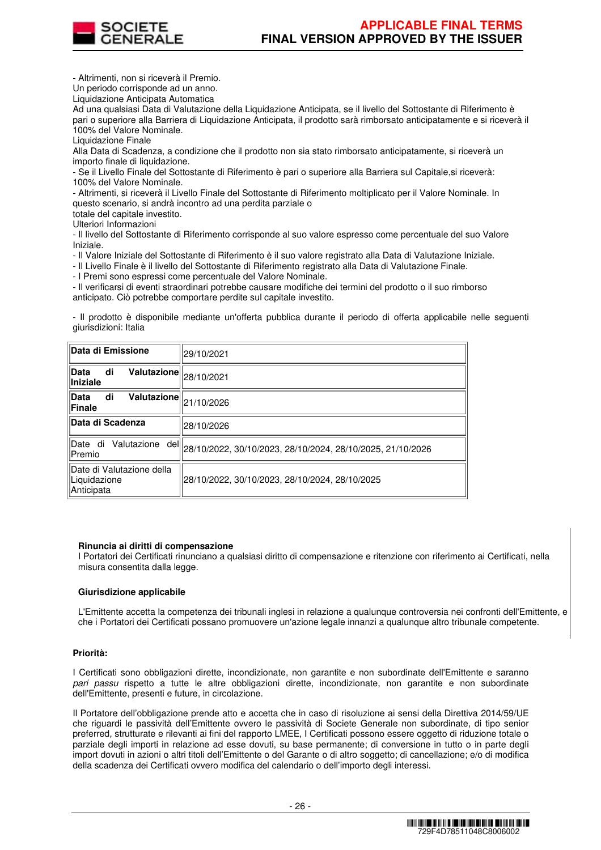

- Altrimenti, non si riceverà il Premio.

Un periodo corrisponde ad un anno.

Liquidazione Anticipata Automatica

Ad una qualsiasi Data di Valutazione della Liquidazione Anticipata, se il livello del Sottostante di Riferimento è pari o superiore alla Barriera di Liquidazione Anticipata, il prodotto sarà rimborsato anticipatamente e si riceverà il 100% del Valore Nominale.

Liquidazione Finale

Alla Data di Scadenza, a condizione che il prodotto non sia stato rimborsato anticipatamente, si riceverà un importo finale di liquidazione.

- Se il Livello Finale del Sottostante di Riferimento è pari o superiore alla Barriera sul Capitale,si riceverà: 100% del Valore Nominale.

- Altrimenti, si riceverà il Livello Finale del Sottostante di Riferimento moltiplicato per il Valore Nominale. In questo scenario, si andrà incontro ad una perdita parziale o

totale del capitale investito.

Ulteriori Informazioni

- Il livello del Sottostante di Riferimento corrisponde al suo valore espresso come percentuale del suo Valore Iniziale.

- Il Valore Iniziale del Sottostante di Riferimento è il suo valore registrato alla Data di Valutazione Iniziale.

- Il Livello Finale è il livello del Sottostante di Riferimento registrato alla Data di Valutazione Finale.

- I Premi sono espressi come percentuale del Valore Nominale.

- Il verificarsi di eventi straordinari potrebbe causare modifiche dei termini del prodotto o il suo rimborso anticipato. Ciò potrebbe comportare perdite sul capitale investito.

- Il prodotto è disponibile mediante un'offerta pubblica durante il periodo di offerta applicabile nelle seguenti giurisdizioni: Italia

| Data di Emissione                                                               | 29/10/2021                                                                 |
|---------------------------------------------------------------------------------|----------------------------------------------------------------------------|
| <b>Data</b><br>di<br>$\overline{\text{Valutazione}}\ _{28/10/2021}$<br>Iniziale |                                                                            |
| di<br>$\overline{\text{Valutazione}}\ _{21/10/2026}$<br>∣Data<br>Finale         |                                                                            |
| Data di Scadenza                                                                | 28/10/2026                                                                 |
| Date di<br>Premio                                                               | Valutazione del 28/10/2022, 30/10/2023, 28/10/2024, 28/10/2025, 21/10/2026 |
| Date di Valutazione della<br>Liquidazione<br>Anticipata                         | 28/10/2022, 30/10/2023, 28/10/2024, 28/10/2025                             |

#### **Rinuncia ai diritti di compensazione**

I Portatori dei Certificati rinunciano a qualsiasi diritto di compensazione e ritenzione con riferimento ai Certificati, nella misura consentita dalla legge.

#### **Giurisdizione applicabile**

L'Emittente accetta la competenza dei tribunali inglesi in relazione a qualunque controversia nei confronti dell'Emittente, e che i Portatori dei Certificati possano promuovere un'azione legale innanzi a qualunque altro tribunale competente.

#### **Priorità:**

I Certificati sono obbligazioni dirette, incondizionate, non garantite e non subordinate dell'Emittente e saranno pari passu rispetto a tutte le altre obbligazioni dirette, incondizionate, non garantite e non subordinate dell'Emittente, presenti e future, in circolazione.

Il Portatore dell'obbligazione prende atto e accetta che in caso di risoluzione ai sensi della Direttiva 2014/59/UE che riguardi le passività dell'Emittente ovvero le passività di Societe Generale non subordinate, di tipo senior preferred, strutturate e rilevanti ai fini del rapporto LMEE, I Certificati possono essere oggetto di riduzione totale o parziale degli importi in relazione ad esse dovuti, su base permanente; di conversione in tutto o in parte degli import dovuti in azioni o altri titoli dell'Emittente o del Garante o di altro soggetto; di cancellazione; e/o di modifica della scadenza dei Certificati ovvero modifica del calendario o dell'importo degli interessi.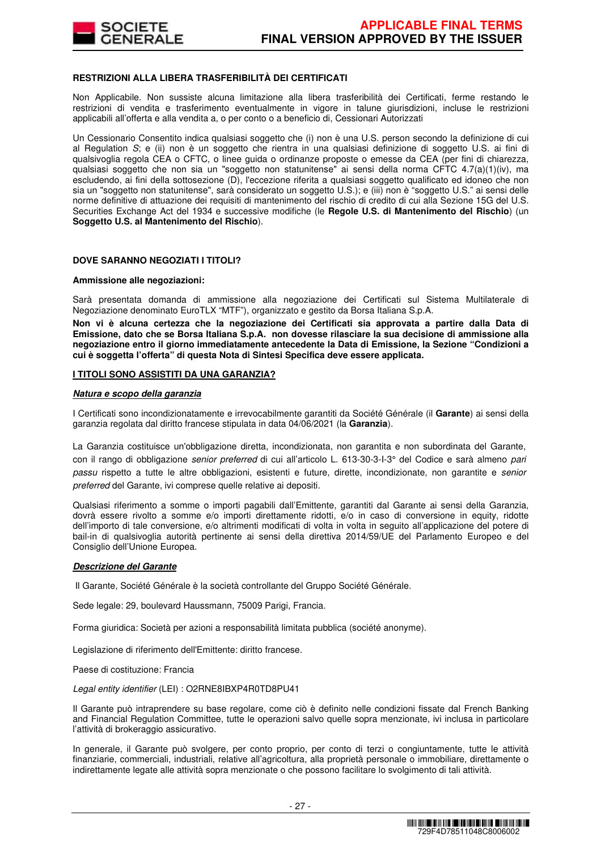

#### **RESTRIZIONI ALLA LIBERA TRASFERIBILITÀ DEI CERTIFICATI**

Non Applicabile. Non sussiste alcuna limitazione alla libera trasferibilità dei Certificati, ferme restando le restrizioni di vendita e trasferimento eventualmente in vigore in talune giurisdizioni, incluse le restrizioni applicabili all'offerta e alla vendita a, o per conto o a beneficio di, Cessionari Autorizzati

Un Cessionario Consentito indica qualsiasi soggetto che (i) non è una U.S. person secondo la definizione di cui al Regulation S; e (ii) non è un soggetto che rientra in una qualsiasi definizione di soggetto U.S. ai fini di qualsivoglia regola CEA o CFTC, o linee guida o ordinanze proposte o emesse da CEA (per fini di chiarezza, qualsiasi soggetto che non sia un "soggetto non statunitense" ai sensi della norma CFTC 4.7(a)(1)(iv), ma escludendo, ai fini della sottosezione (D), l'eccezione riferita a qualsiasi soggetto qualificato ed idoneo che non sia un "soggetto non statunitense", sarà considerato un soggetto U.S.); e (iii) non è "soggetto U.S." ai sensi delle norme definitive di attuazione dei requisiti di mantenimento del rischio di credito di cui alla Sezione 15G del U.S. Securities Exchange Act del 1934 e successive modifiche (le **Regole U.S. di Mantenimento del Rischio**) (un **Soggetto U.S. al Mantenimento del Rischio**).

#### **DOVE SARANNO NEGOZIATI I TITOLI?**

#### **Ammissione alle negoziazioni:**

Sarà presentata domanda di ammissione alla negoziazione dei Certificati sul Sistema Multilaterale di Negoziazione denominato EuroTLX "MTF"), organizzato e gestito da Borsa Italiana S.p.A.

**Non vi è alcuna certezza che la negoziazione dei Certificati sia approvata a partire dalla Data di Emissione, dato che se Borsa Italiana S.p.A. non dovesse rilasciare la sua decisione di ammissione alla negoziazione entro il giorno immediatamente antecedente la Data di Emissione, la Sezione "Condizioni a cui è soggetta l'offerta" di questa Nota di Sintesi Specifica deve essere applicata.** 

#### **I TITOLI SONO ASSISTITI DA UNA GARANZIA?**

#### **Natura e scopo della garanzia**

I Certificati sono incondizionatamente e irrevocabilmente garantiti da Société Générale (il **Garante**) ai sensi della garanzia regolata dal diritto francese stipulata in data 04/06/2021 (la **Garanzia**).

La Garanzia costituisce un'obbligazione diretta, incondizionata, non garantita e non subordinata del Garante, con il rango di obbligazione senior preferred di cui all'articolo L. 613-30-3-I-3° del Codice e sarà almeno pari passu rispetto a tutte le altre obbligazioni, esistenti e future, dirette, incondizionate, non garantite e senior preferred del Garante, ivi comprese quelle relative ai depositi.

Qualsiasi riferimento a somme o importi pagabili dall'Emittente, garantiti dal Garante ai sensi della Garanzia, dovrà essere rivolto a somme e/o importi direttamente ridotti, e/o in caso di conversione in equity, ridotte dell'importo di tale conversione, e/o altrimenti modificati di volta in volta in seguito all'applicazione del potere di bail-in di qualsivoglia autorità pertinente ai sensi della direttiva 2014/59/UE del Parlamento Europeo e del Consiglio dell'Unione Europea.

#### **Descrizione del Garante**

Il Garante, Société Générale è la società controllante del Gruppo Société Générale.

Sede legale: 29, boulevard Haussmann, 75009 Parigi, Francia.

Forma giuridica: Società per azioni a responsabilità limitata pubblica (société anonyme).

Legislazione di riferimento dell'Emittente: diritto francese.

Paese di costituzione: Francia

Legal entity identifier (LEI) : O2RNE8IBXP4R0TD8PU41

Il Garante può intraprendere su base regolare, come ciò è definito nelle condizioni fissate dal French Banking and Financial Regulation Committee, tutte le operazioni salvo quelle sopra menzionate, ivi inclusa in particolare l'attività di brokeraggio assicurativo.

In generale, il Garante può svolgere, per conto proprio, per conto di terzi o congiuntamente, tutte le attività finanziarie, commerciali, industriali, relative all'agricoltura, alla proprietà personale o immobiliare, direttamente o indirettamente legate alle attività sopra menzionate o che possono facilitare lo svolgimento di tali attività.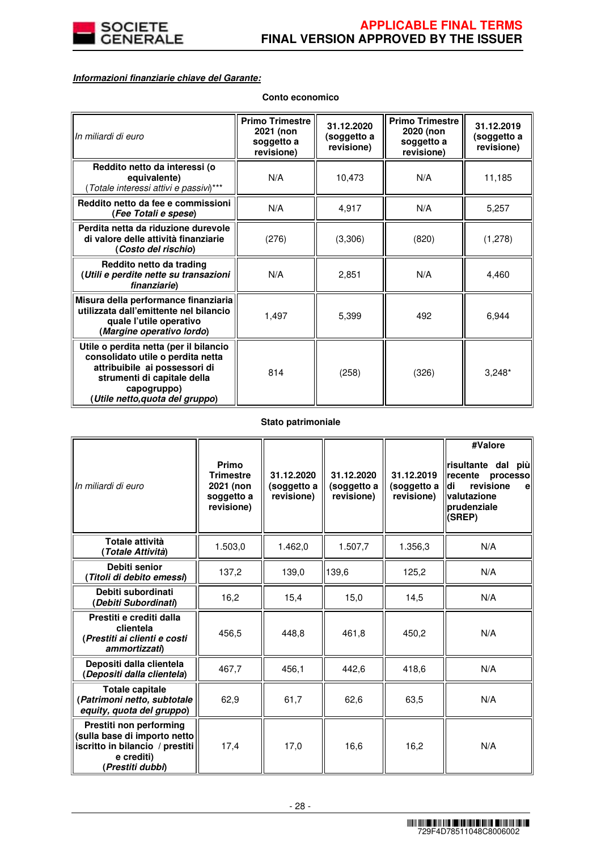

# **Informazioni finanziarie chiave del Garante:**

| In miliardi di euro                                                                                                                                                                           | <b>Primo Trimestre</b><br>2021 (non<br>soggetto a<br>revisione) | 31.12.2020<br>(soggetto a<br>revisione) | <b>Primo Trimestre</b><br>2020 (non<br>soggetto a<br>revisione) | 31.12.2019<br>(soggetto a<br>revisione) |
|-----------------------------------------------------------------------------------------------------------------------------------------------------------------------------------------------|-----------------------------------------------------------------|-----------------------------------------|-----------------------------------------------------------------|-----------------------------------------|
| Reddito netto da interessi (o<br>equivalente)<br>Totale interessi attivi e passivi)***                                                                                                        | N/A                                                             | 10,473                                  | N/A                                                             | 11,185                                  |
| Reddito netto da fee e commissioni<br>(Fee Totali e spese)                                                                                                                                    | N/A                                                             | 4,917                                   | N/A                                                             | 5,257                                   |
| Perdita netta da riduzione durevole<br>di valore delle attività finanziarie<br>(Costo del rischio)                                                                                            | (276)                                                           | (3,306)                                 | (820)                                                           | (1,278)                                 |
| Reddito netto da trading<br>(Utili e perdite nette su transazioni<br>finanziarie)                                                                                                             | N/A                                                             | 2,851                                   | N/A                                                             | 4.460                                   |
| Misura della performance finanziaria<br>utilizzata dall'emittente nel bilancio<br>quale l'utile operativo<br>(Margine operativo lordo)                                                        | 1,497                                                           | 5,399                                   | 492                                                             | 6,944                                   |
| Utile o perdita netta (per il bilancio<br>consolidato utile o perdita netta<br>attribuibile ai possessori di<br>strumenti di capitale della<br>capogruppo)<br>(Utile netto, quota del gruppo) | 814                                                             | (258)                                   | (326)                                                           | $3,248*$                                |

## **Stato patrimoniale**

| In miliardi di euro                                                                                                          | Primo<br><b>Trimestre</b><br>2021 (non<br>soggetto a<br>revisione) | 31.12.2020<br>(soggetto a<br>revisione) | 31.12.2020<br>(soggetto a<br>revisione) | 31.12.2019<br>(soggetto a<br>revisione) | #Valore<br>risultante dal più<br><b>Irecente</b><br>processo<br>di<br>revisione<br>e<br>valutazione<br>prudenziale<br>(SREP) |
|------------------------------------------------------------------------------------------------------------------------------|--------------------------------------------------------------------|-----------------------------------------|-----------------------------------------|-----------------------------------------|------------------------------------------------------------------------------------------------------------------------------|
| Totale attività<br>(Totale Attività)                                                                                         | 1.503,0                                                            | 1.462,0                                 | 1.507,7                                 | 1.356,3                                 | N/A                                                                                                                          |
| Debiti senior<br>(Titoli di debito emessi)                                                                                   | 137,2                                                              | 139,0                                   | 139,6                                   | 125,2                                   | N/A                                                                                                                          |
| Debiti subordinati<br>(Debiti Subordinati)                                                                                   | 16,2                                                               | 15,4                                    | 15,0                                    | 14,5                                    | N/A                                                                                                                          |
| Prestiti e crediti dalla<br>clientela<br>(Prestiti ai clienti e costi<br>ammortizzati)                                       | 456,5                                                              | 448.8                                   | 461,8                                   | 450,2                                   | N/A                                                                                                                          |
| Depositi dalla clientela<br>(Depositi dalla clientela)                                                                       | 467,7                                                              | 456,1                                   | 442,6                                   | 418,6                                   | N/A                                                                                                                          |
| <b>Totale capitale</b><br>(Patrimoni netto, subtotale<br>equity, quota del gruppo)                                           | 62,9                                                               | 61,7                                    | 62,6                                    | 63,5                                    | N/A                                                                                                                          |
| Prestiti non performing<br>(sulla base di importo netto<br>iscritto in bilancio / prestiti<br>e crediti)<br>(Prestiti dubbi) | 17,4                                                               | 17,0                                    | 16,6                                    | 16.2                                    | N/A                                                                                                                          |

# **Conto economico**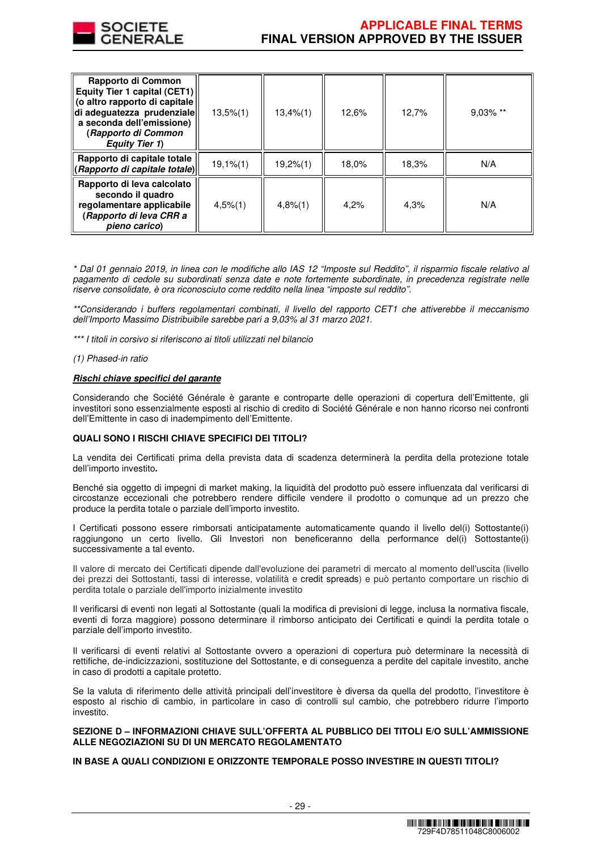

# **APPLICABLE FINAL TERMS FINAL VERSION APPROVED BY THE ISSUER**

| Rapporto di Common<br>Equity Tier 1 capital (CET1)<br>(o altro rapporto di capitale<br>di adeguatezza prudenziale<br>a seconda dell'emissione)<br>(Rapporto di Common<br><b>Equity Tier 1)</b> | $13,5\%$ $(1)$ | 13,4%(1) | 12,6% | 12,7% | $9.03\%$ ** |
|------------------------------------------------------------------------------------------------------------------------------------------------------------------------------------------------|----------------|----------|-------|-------|-------------|
| Rapporto di capitale totale<br>(Rapporto di capitale totale)                                                                                                                                   | $19,1%$ $(1)$  | 19,2%(1) | 18,0% | 18,3% | N/A         |
| Rapporto di leva calcolato<br>secondo il quadro<br>regolamentare applicabile<br>(Rapporto di leva CRR a<br>pieno carico)                                                                       | $4,5\%$ (1)    | 4,8%(1)  | 4.2%  | 4.3%  | N/A         |

\* Dal 01 gennaio 2019, in linea con le modifiche allo IAS 12 "Imposte sul Reddito", il risparmio fiscale relativo al pagamento di cedole su subordinati senza date e note fortemente subordinate, in precedenza registrate nelle riserve consolidate, è ora riconosciuto come reddito nella linea "imposte sul reddito".

\*\*Considerando i buffers regolamentari combinati, il livello del rapporto CET1 che attiverebbe il meccanismo dell'Importo Massimo Distribuibile sarebbe pari a 9,03% al 31 marzo 2021.

\*\*\* I titoli in corsivo si riferiscono ai titoli utilizzati nel bilancio

(1) Phased-in ratio

## **Rischi chiave specifici del garante**

Considerando che Société Générale è garante e controparte delle operazioni di copertura dell'Emittente, gli investitori sono essenzialmente esposti al rischio di credito di Société Générale e non hanno ricorso nei confronti dell'Emittente in caso di inadempimento dell'Emittente.

## **QUALI SONO I RISCHI CHIAVE SPECIFICI DEI TITOLI?**

La vendita dei Certificati prima della prevista data di scadenza determinerà la perdita della protezione totale dell'importo investito**.**

Benché sia oggetto di impegni di market making, la liquidità del prodotto può essere influenzata dal verificarsi di circostanze eccezionali che potrebbero rendere difficile vendere il prodotto o comunque ad un prezzo che produce la perdita totale o parziale dell'importo investito.

I Certificati possono essere rimborsati anticipatamente automaticamente quando il livello del(i) Sottostante(i) raggiungono un certo livello. Gli Investori non beneficeranno della performance del(i) Sottostante(i) successivamente a tal evento.

Il valore di mercato dei Certificati dipende dall'evoluzione dei parametri di mercato al momento dell'uscita (livello dei prezzi dei Sottostanti, tassi di interesse, volatilità e credit spreads) e può pertanto comportare un rischio di perdita totale o parziale dell'importo inizialmente investito

Il verificarsi di eventi non legati al Sottostante (quali la modifica di previsioni di legge, inclusa la normativa fiscale, eventi di forza maggiore) possono determinare il rimborso anticipato dei Certificati e quindi la perdita totale o parziale dell'importo investito.

Il verificarsi di eventi relativi al Sottostante ovvero a operazioni di copertura può determinare la necessità di rettifiche, de-indicizzazioni, sostituzione del Sottostante, e di conseguenza a perdite del capitale investito, anche in caso di prodotti a capitale protetto.

Se la valuta di riferimento delle attività principali dell'investitore è diversa da quella del prodotto, l'investitore è esposto al rischio di cambio, in particolare in caso di controlli sul cambio, che potrebbero ridurre l'importo investito.

## **SEZIONE D – INFORMAZIONI CHIAVE SULL'OFFERTA AL PUBBLICO DEI TITOLI E/O SULL'AMMISSIONE ALLE NEGOZIAZIONI SU DI UN MERCATO REGOLAMENTATO**

## **IN BASE A QUALI CONDIZIONI E ORIZZONTE TEMPORALE POSSO INVESTIRE IN QUESTI TITOLI?**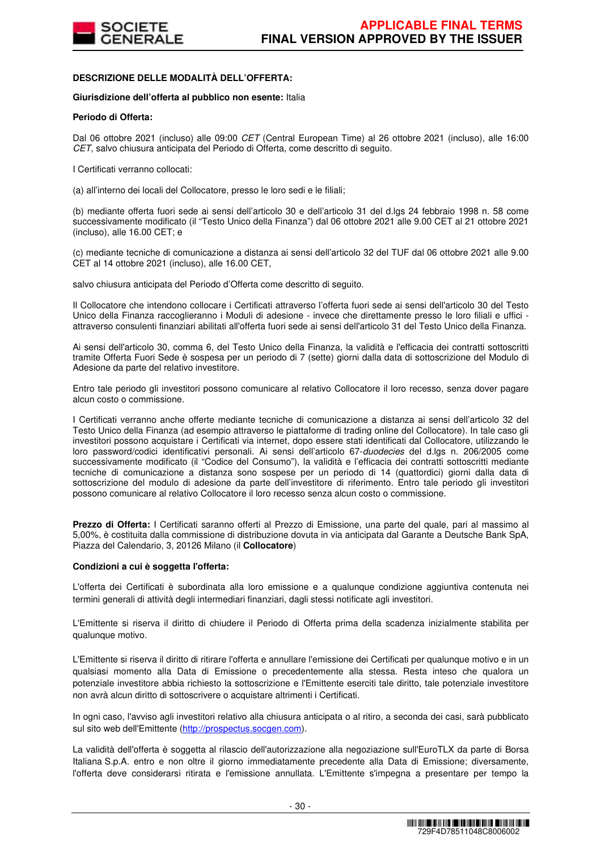

## **DESCRIZIONE DELLE MODALITÀ DELL'OFFERTA:**

#### **Giurisdizione dell'offerta al pubblico non esente:** Italia

#### **Periodo di Offerta:**

Dal 06 ottobre 2021 (incluso) alle 09:00 CET (Central European Time) al 26 ottobre 2021 (incluso), alle 16:00 CET, salvo chiusura anticipata del Periodo di Offerta, come descritto di seguito.

I Certificati verranno collocati:

(a) all'interno dei locali del Collocatore, presso le loro sedi e le filiali;

(b) mediante offerta fuori sede ai sensi dell'articolo 30 e dell'articolo 31 del d.lgs 24 febbraio 1998 n. 58 come successivamente modificato (il "Testo Unico della Finanza") dal 06 ottobre 2021 alle 9.00 CET al 21 ottobre 2021 (incluso), alle 16.00 CET; e

(c) mediante tecniche di comunicazione a distanza ai sensi dell'articolo 32 del TUF dal 06 ottobre 2021 alle 9.00 CET al 14 ottobre 2021 (incluso), alle 16.00 CET,

salvo chiusura anticipata del Periodo d'Offerta come descritto di seguito.

Il Collocatore che intendono collocare i Certificati attraverso l'offerta fuori sede ai sensi dell'articolo 30 del Testo Unico della Finanza raccoglieranno i Moduli di adesione - invece che direttamente presso le loro filiali e uffici attraverso consulenti finanziari abilitati all'offerta fuori sede ai sensi dell'articolo 31 del Testo Unico della Finanza.

Ai sensi dell'articolo 30, comma 6, del Testo Unico della Finanza, la validità e l'efficacia dei contratti sottoscritti tramite Offerta Fuori Sede è sospesa per un periodo di 7 (sette) giorni dalla data di sottoscrizione del Modulo di Adesione da parte del relativo investitore.

Entro tale periodo gli investitori possono comunicare al relativo Collocatore il loro recesso, senza dover pagare alcun costo o commissione.

I Certificati verranno anche offerte mediante tecniche di comunicazione a distanza ai sensi dell'articolo 32 del Testo Unico della Finanza (ad esempio attraverso le piattaforme di trading online del Collocatore). In tale caso gli investitori possono acquistare i Certificati via internet, dopo essere stati identificati dal Collocatore, utilizzando le loro password/codici identificativi personali. Ai sensi dell'articolo 67-duodecies del d.lgs n. 206/2005 come successivamente modificato (il "Codice del Consumo"), la validità e l'efficacia dei contratti sottoscritti mediante tecniche di comunicazione a distanza sono sospese per un periodo di 14 (quattordici) giorni dalla data di sottoscrizione del modulo di adesione da parte dell'investitore di riferimento. Entro tale periodo gli investitori possono comunicare al relativo Collocatore il loro recesso senza alcun costo o commissione.

**Prezzo di Offerta:** I Certificati saranno offerti al Prezzo di Emissione, una parte del quale, pari al massimo al 5,00%, è costituita dalla commissione di distribuzione dovuta in via anticipata dal Garante a Deutsche Bank SpA, Piazza del Calendario, 3, 20126 Milano (il **Collocatore**)

#### **Condizioni a cui è soggetta l'offerta:**

L'offerta dei Certificati è subordinata alla loro emissione e a qualunque condizione aggiuntiva contenuta nei termini generali di attività degli intermediari finanziari, dagli stessi notificate agli investitori.

L'Emittente si riserva il diritto di chiudere il Periodo di Offerta prima della scadenza inizialmente stabilita per qualunque motivo.

L'Emittente si riserva il diritto di ritirare l'offerta e annullare l'emissione dei Certificati per qualunque motivo e in un qualsiasi momento alla Data di Emissione o precedentemente alla stessa. Resta inteso che qualora un potenziale investitore abbia richiesto la sottoscrizione e l'Emittente eserciti tale diritto, tale potenziale investitore non avrà alcun diritto di sottoscrivere o acquistare altrimenti i Certificati.

In ogni caso, l'avviso agli investitori relativo alla chiusura anticipata o al ritiro, a seconda dei casi, sarà pubblicato sul sito web dell'Emittente (http://prospectus.socgen.com).

La validità dell'offerta è soggetta al rilascio dell'autorizzazione alla negoziazione sull'EuroTLX da parte di Borsa Italiana S.p.A. entro e non oltre il giorno immediatamente precedente alla Data di Emissione; diversamente, l'offerta deve considerarsi ritirata e l'emissione annullata. L'Emittente s'impegna a presentare per tempo la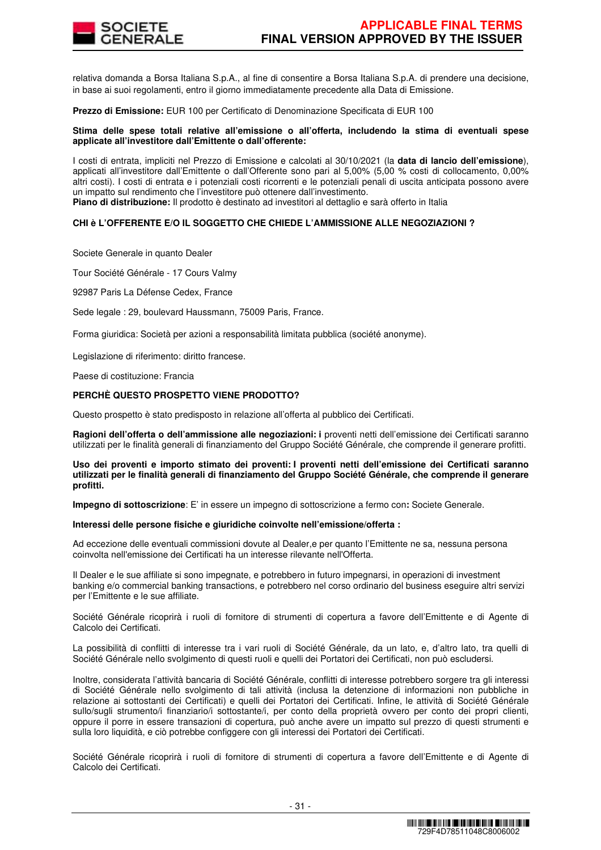

relativa domanda a Borsa Italiana S.p.A., al fine di consentire a Borsa Italiana S.p.A. di prendere una decisione, in base ai suoi regolamenti, entro il giorno immediatamente precedente alla Data di Emissione.

**Prezzo di Emissione:** EUR 100 per Certificato di Denominazione Specificata di EUR 100

## **Stima delle spese totali relative all'emissione o all'offerta, includendo la stima di eventuali spese applicate all'investitore dall'Emittente o dall'offerente:**

I costi di entrata, impliciti nel Prezzo di Emissione e calcolati al 30/10/2021 (la **data di lancio dell'emissione**), applicati all'investitore dall'Emittente o dall'Offerente sono pari al 5,00% (5,00 % costi di collocamento, 0,00% altri costi). I costi di entrata e i potenziali costi ricorrenti e le potenziali penali di uscita anticipata possono avere un impatto sul rendimento che l'investitore può ottenere dall'investimento.

**Piano di distribuzione:** Il prodotto è destinato ad investitori al dettaglio e sarà offerto in Italia

# **CHI è L'OFFERENTE E/O IL SOGGETTO CHE CHIEDE L'AMMISSIONE ALLE NEGOZIAZIONI ?**

Societe Generale in quanto Dealer

Tour Société Générale - 17 Cours Valmy

92987 Paris La Défense Cedex, France

Sede legale : 29, boulevard Haussmann, 75009 Paris, France.

Forma giuridica: Società per azioni a responsabilità limitata pubblica (société anonyme).

Legislazione di riferimento: diritto francese.

Paese di costituzione: Francia

## **PERCHÈ QUESTO PROSPETTO VIENE PRODOTTO?**

Questo prospetto è stato predisposto in relazione all'offerta al pubblico dei Certificati.

**Ragioni dell'offerta o dell'ammissione alle negoziazioni: i** proventi netti dell'emissione dei Certificati saranno utilizzati per le finalità generali di finanziamento del Gruppo Société Générale, che comprende il generare profitti.

**Uso dei proventi e importo stimato dei proventi: I proventi netti dell'emissione dei Certificati saranno utilizzati per le finalità generali di finanziamento del Gruppo Société Générale, che comprende il generare profitti.** 

**Impegno di sottoscrizione**: E' in essere un impegno di sottoscrizione a fermo con**:** Societe Generale.

#### **Interessi delle persone fisiche e giuridiche coinvolte nell'emissione/offerta :**

Ad eccezione delle eventuali commissioni dovute al Dealer,e per quanto l'Emittente ne sa, nessuna persona coinvolta nell'emissione dei Certificati ha un interesse rilevante nell'Offerta.

Il Dealer e le sue affiliate si sono impegnate, e potrebbero in futuro impegnarsi, in operazioni di investment banking e/o commercial banking transactions, e potrebbero nel corso ordinario del business eseguire altri servizi per l'Emittente e le sue affiliate.

Société Générale ricoprirà i ruoli di fornitore di strumenti di copertura a favore dell'Emittente e di Agente di Calcolo dei Certificati.

La possibilità di conflitti di interesse tra i vari ruoli di Société Générale, da un lato, e, d'altro lato, tra quelli di Société Générale nello svolgimento di questi ruoli e quelli dei Portatori dei Certificati, non può escludersi.

Inoltre, considerata l'attività bancaria di Société Générale, conflitti di interesse potrebbero sorgere tra gli interessi di Société Générale nello svolgimento di tali attività (inclusa la detenzione di informazioni non pubbliche in relazione ai sottostanti dei Certificati) e quelli dei Portatori dei Certificati. Infine, le attività di Société Générale sullo/sugli strumento/i finanziario/i sottostante/i, per conto della proprietà ovvero per conto dei propri clienti, oppure il porre in essere transazioni di copertura, può anche avere un impatto sul prezzo di questi strumenti e sulla loro liquidità, e ciò potrebbe configgere con gli interessi dei Portatori dei Certificati.

Société Générale ricoprirà i ruoli di fornitore di strumenti di copertura a favore dell'Emittente e di Agente di Calcolo dei Certificati.